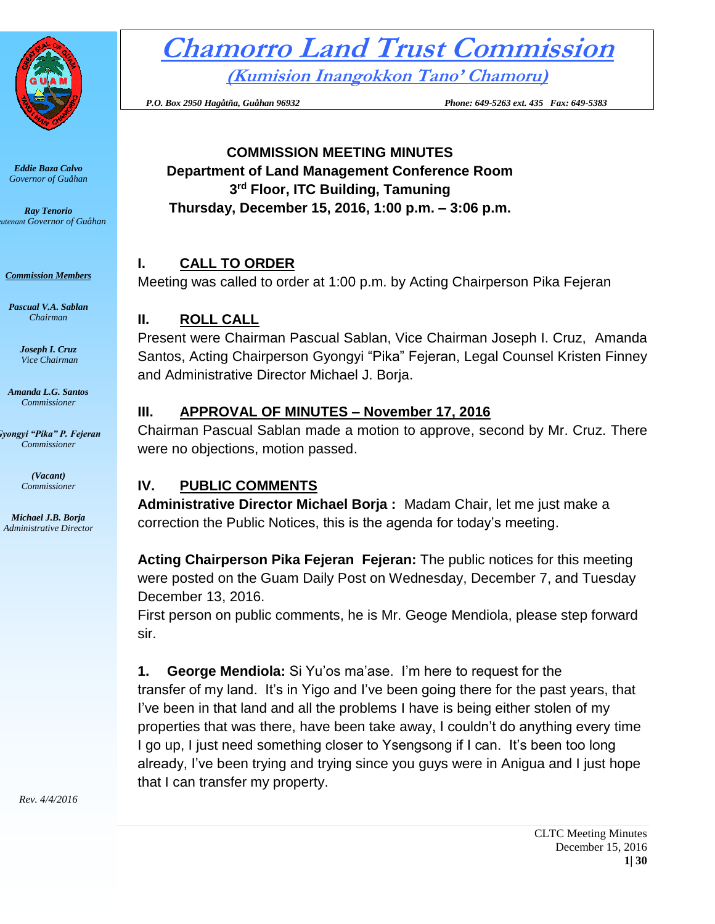

*Eddie Baza Calvo Governor of Guåhan*

*Ray Tenorio Lieutenant Governor of Guåhan*

*Commission Members*

*Pascual V.A. Sablan Chairman*

> *Joseph I. Cruz Vice Chairman*

*Amanda L.G. Santos Commissioner*

*Gyongyi "Pika" P. Fejeran Commissioner*

> *(Vacant) Commissioner*

*Michael J.B. Borja Administrative Director* **Chamorro Land Trust Commission**

**(Kumision Inangokkon Tano' Chamoru)**

 *P.O. Box 2950 Hagåtña, Guåhan 96932 Phone: 649-5263 ext. 435 Fax: 649-5383*

## **COMMISSION MEETING MINUTES Department of Land Management Conference Room 3 rd Floor, ITC Building, Tamuning Thursday, December 15, 2016, 1:00 p.m. – 3:06 p.m.**

# **I. CALL TO ORDER**

Meeting was called to order at 1:00 p.m. by Acting Chairperson Pika Fejeran

### **II. ROLL CALL**

Present were Chairman Pascual Sablan, Vice Chairman Joseph I. Cruz, Amanda Santos, Acting Chairperson Gyongyi "Pika" Fejeran, Legal Counsel Kristen Finney and Administrative Director Michael J. Borja.

### **III. APPROVAL OF MINUTES – November 17, 2016**

Chairman Pascual Sablan made a motion to approve, second by Mr. Cruz. There were no objections, motion passed.

# **IV. PUBLIC COMMENTS**

**Administrative Director Michael Borja :** Madam Chair, let me just make a correction the Public Notices, this is the agenda for today's meeting.

**Acting Chairperson Pika Fejeran Fejeran:** The public notices for this meeting were posted on the Guam Daily Post on Wednesday, December 7, and Tuesday December 13, 2016.

First person on public comments, he is Mr. Geoge Mendiola, please step forward sir.

**1. George Mendiola:** Si Yu'os ma'ase. I'm here to request for the transfer of my land. It's in Yigo and I've been going there for the past years, that I've been in that land and all the problems I have is being either stolen of my properties that was there, have been take away, I couldn't do anything every time I go up, I just need something closer to Ysengsong if I can. It's been too long already, I've been trying and trying since you guys were in Anigua and I just hope that I can transfer my property.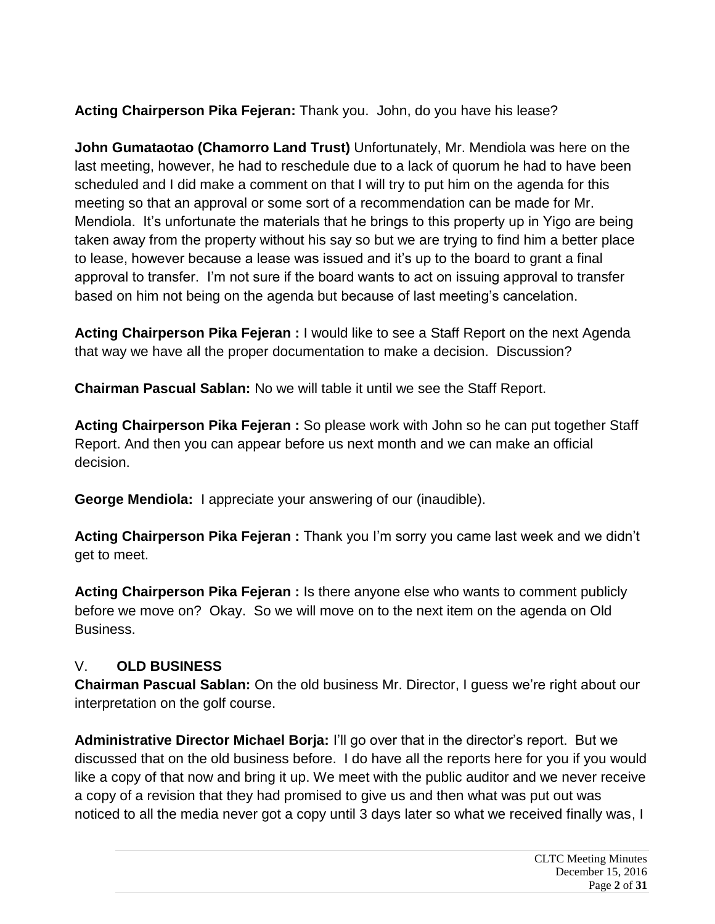**Acting Chairperson Pika Fejeran:** Thank you. John, do you have his lease?

**John Gumataotao (Chamorro Land Trust)** Unfortunately, Mr. Mendiola was here on the last meeting, however, he had to reschedule due to a lack of quorum he had to have been scheduled and I did make a comment on that I will try to put him on the agenda for this meeting so that an approval or some sort of a recommendation can be made for Mr. Mendiola. It's unfortunate the materials that he brings to this property up in Yigo are being taken away from the property without his say so but we are trying to find him a better place to lease, however because a lease was issued and it's up to the board to grant a final approval to transfer. I'm not sure if the board wants to act on issuing approval to transfer based on him not being on the agenda but because of last meeting's cancelation.

**Acting Chairperson Pika Fejeran :** I would like to see a Staff Report on the next Agenda that way we have all the proper documentation to make a decision. Discussion?

**Chairman Pascual Sablan:** No we will table it until we see the Staff Report.

**Acting Chairperson Pika Fejeran :** So please work with John so he can put together Staff Report. And then you can appear before us next month and we can make an official decision.

**George Mendiola:** I appreciate your answering of our (inaudible).

**Acting Chairperson Pika Fejeran :** Thank you I'm sorry you came last week and we didn't get to meet.

**Acting Chairperson Pika Fejeran :** Is there anyone else who wants to comment publicly before we move on? Okay. So we will move on to the next item on the agenda on Old Business.

# V. **OLD BUSINESS**

**Chairman Pascual Sablan:** On the old business Mr. Director, I guess we're right about our interpretation on the golf course.

**Administrative Director Michael Borja:** I'll go over that in the director's report. But we discussed that on the old business before. I do have all the reports here for you if you would like a copy of that now and bring it up. We meet with the public auditor and we never receive a copy of a revision that they had promised to give us and then what was put out was noticed to all the media never got a copy until 3 days later so what we received finally was, I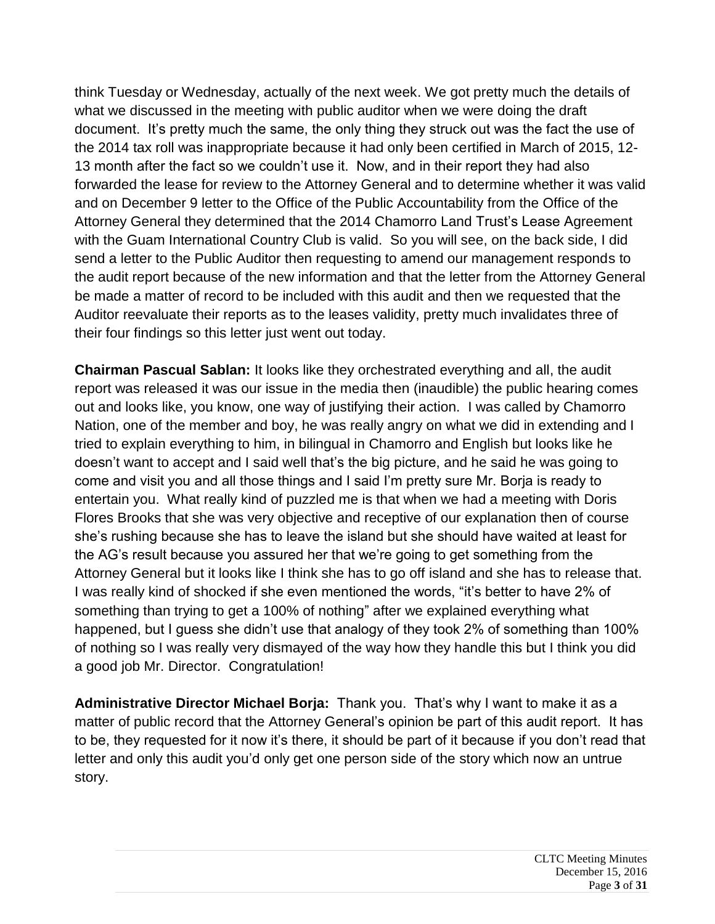think Tuesday or Wednesday, actually of the next week. We got pretty much the details of what we discussed in the meeting with public auditor when we were doing the draft document. It's pretty much the same, the only thing they struck out was the fact the use of the 2014 tax roll was inappropriate because it had only been certified in March of 2015, 12- 13 month after the fact so we couldn't use it. Now, and in their report they had also forwarded the lease for review to the Attorney General and to determine whether it was valid and on December 9 letter to the Office of the Public Accountability from the Office of the Attorney General they determined that the 2014 Chamorro Land Trust's Lease Agreement with the Guam International Country Club is valid. So you will see, on the back side, I did send a letter to the Public Auditor then requesting to amend our management responds to the audit report because of the new information and that the letter from the Attorney General be made a matter of record to be included with this audit and then we requested that the Auditor reevaluate their reports as to the leases validity, pretty much invalidates three of their four findings so this letter just went out today.

**Chairman Pascual Sablan:** It looks like they orchestrated everything and all, the audit report was released it was our issue in the media then (inaudible) the public hearing comes out and looks like, you know, one way of justifying their action. I was called by Chamorro Nation, one of the member and boy, he was really angry on what we did in extending and I tried to explain everything to him, in bilingual in Chamorro and English but looks like he doesn't want to accept and I said well that's the big picture, and he said he was going to come and visit you and all those things and I said I'm pretty sure Mr. Borja is ready to entertain you. What really kind of puzzled me is that when we had a meeting with Doris Flores Brooks that she was very objective and receptive of our explanation then of course she's rushing because she has to leave the island but she should have waited at least for the AG's result because you assured her that we're going to get something from the Attorney General but it looks like I think she has to go off island and she has to release that. I was really kind of shocked if she even mentioned the words, "it's better to have 2% of something than trying to get a 100% of nothing" after we explained everything what happened, but I guess she didn't use that analogy of they took 2% of something than 100% of nothing so I was really very dismayed of the way how they handle this but I think you did a good job Mr. Director. Congratulation!

**Administrative Director Michael Borja:** Thank you. That's why I want to make it as a matter of public record that the Attorney General's opinion be part of this audit report. It has to be, they requested for it now it's there, it should be part of it because if you don't read that letter and only this audit you'd only get one person side of the story which now an untrue story.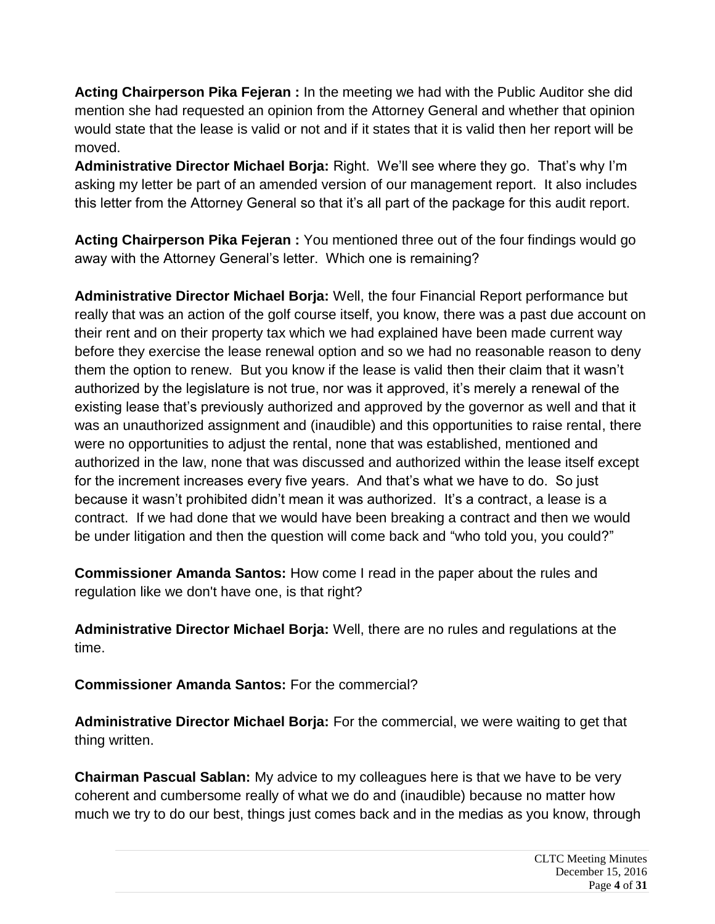**Acting Chairperson Pika Fejeran :** In the meeting we had with the Public Auditor she did mention she had requested an opinion from the Attorney General and whether that opinion would state that the lease is valid or not and if it states that it is valid then her report will be moved.

**Administrative Director Michael Borja:** Right. We'll see where they go. That's why I'm asking my letter be part of an amended version of our management report. It also includes this letter from the Attorney General so that it's all part of the package for this audit report.

**Acting Chairperson Pika Fejeran :** You mentioned three out of the four findings would go away with the Attorney General's letter. Which one is remaining?

**Administrative Director Michael Borja:** Well, the four Financial Report performance but really that was an action of the golf course itself, you know, there was a past due account on their rent and on their property tax which we had explained have been made current way before they exercise the lease renewal option and so we had no reasonable reason to deny them the option to renew. But you know if the lease is valid then their claim that it wasn't authorized by the legislature is not true, nor was it approved, it's merely a renewal of the existing lease that's previously authorized and approved by the governor as well and that it was an unauthorized assignment and (inaudible) and this opportunities to raise rental, there were no opportunities to adjust the rental, none that was established, mentioned and authorized in the law, none that was discussed and authorized within the lease itself except for the increment increases every five years. And that's what we have to do. So just because it wasn't prohibited didn't mean it was authorized. It's a contract, a lease is a contract. If we had done that we would have been breaking a contract and then we would be under litigation and then the question will come back and "who told you, you could?"

**Commissioner Amanda Santos:** How come I read in the paper about the rules and regulation like we don't have one, is that right?

**Administrative Director Michael Borja:** Well, there are no rules and regulations at the time.

**Commissioner Amanda Santos:** For the commercial?

**Administrative Director Michael Borja:** For the commercial, we were waiting to get that thing written.

**Chairman Pascual Sablan:** My advice to my colleagues here is that we have to be very coherent and cumbersome really of what we do and (inaudible) because no matter how much we try to do our best, things just comes back and in the medias as you know, through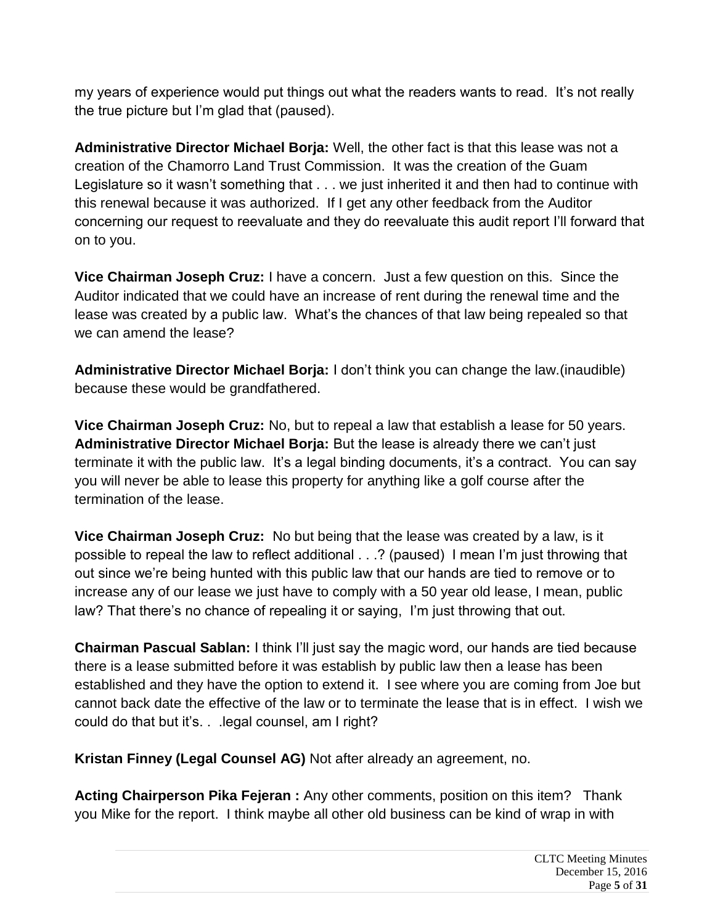my years of experience would put things out what the readers wants to read. It's not really the true picture but I'm glad that (paused).

**Administrative Director Michael Borja:** Well, the other fact is that this lease was not a creation of the Chamorro Land Trust Commission. It was the creation of the Guam Legislature so it wasn't something that . . . we just inherited it and then had to continue with this renewal because it was authorized. If I get any other feedback from the Auditor concerning our request to reevaluate and they do reevaluate this audit report I'll forward that on to you.

**Vice Chairman Joseph Cruz:** I have a concern. Just a few question on this. Since the Auditor indicated that we could have an increase of rent during the renewal time and the lease was created by a public law. What's the chances of that law being repealed so that we can amend the lease?

**Administrative Director Michael Borja:** I don't think you can change the law.(inaudible) because these would be grandfathered.

**Vice Chairman Joseph Cruz:** No, but to repeal a law that establish a lease for 50 years. **Administrative Director Michael Borja:** But the lease is already there we can't just terminate it with the public law. It's a legal binding documents, it's a contract. You can say you will never be able to lease this property for anything like a golf course after the termination of the lease.

**Vice Chairman Joseph Cruz:** No but being that the lease was created by a law, is it possible to repeal the law to reflect additional . . .? (paused) I mean I'm just throwing that out since we're being hunted with this public law that our hands are tied to remove or to increase any of our lease we just have to comply with a 50 year old lease, I mean, public law? That there's no chance of repealing it or saying, I'm just throwing that out.

**Chairman Pascual Sablan:** I think I'll just say the magic word, our hands are tied because there is a lease submitted before it was establish by public law then a lease has been established and they have the option to extend it. I see where you are coming from Joe but cannot back date the effective of the law or to terminate the lease that is in effect. I wish we could do that but it's. . .legal counsel, am I right?

**Kristan Finney (Legal Counsel AG)** Not after already an agreement, no.

**Acting Chairperson Pika Fejeran :** Any other comments, position on this item? Thank you Mike for the report. I think maybe all other old business can be kind of wrap in with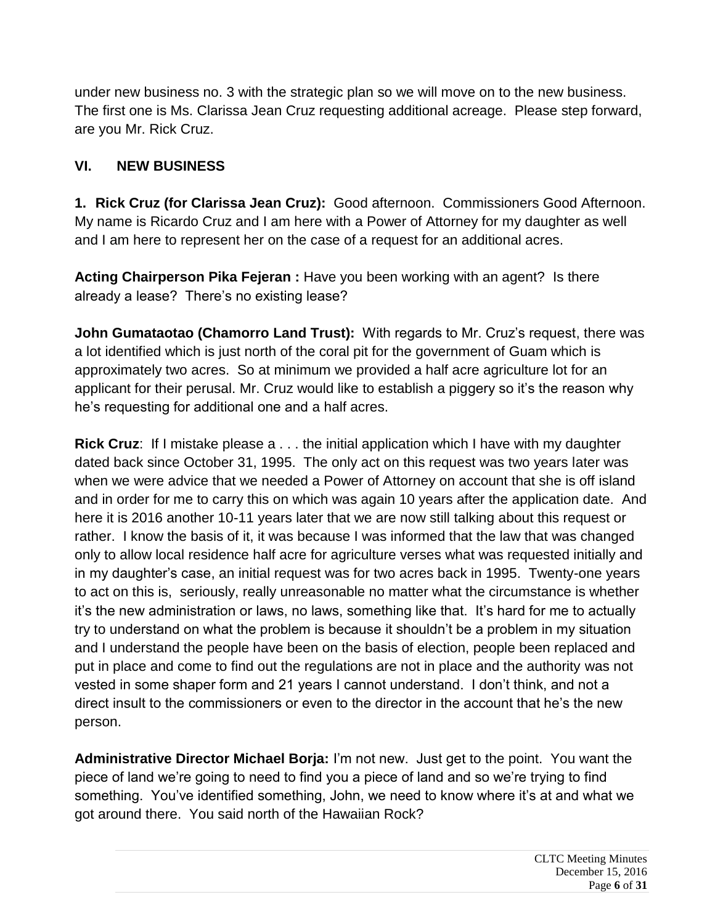under new business no. 3 with the strategic plan so we will move on to the new business. The first one is Ms. Clarissa Jean Cruz requesting additional acreage. Please step forward, are you Mr. Rick Cruz.

## **VI. NEW BUSINESS**

**1. Rick Cruz (for Clarissa Jean Cruz):** Good afternoon. Commissioners Good Afternoon. My name is Ricardo Cruz and I am here with a Power of Attorney for my daughter as well and I am here to represent her on the case of a request for an additional acres.

**Acting Chairperson Pika Fejeran :** Have you been working with an agent? Is there already a lease? There's no existing lease?

**John Gumataotao (Chamorro Land Trust):** With regards to Mr. Cruz's request, there was a lot identified which is just north of the coral pit for the government of Guam which is approximately two acres. So at minimum we provided a half acre agriculture lot for an applicant for their perusal. Mr. Cruz would like to establish a piggery so it's the reason why he's requesting for additional one and a half acres.

**Rick Cruz**: If I mistake please a . . . the initial application which I have with my daughter dated back since October 31, 1995. The only act on this request was two years later was when we were advice that we needed a Power of Attorney on account that she is off island and in order for me to carry this on which was again 10 years after the application date. And here it is 2016 another 10-11 years later that we are now still talking about this request or rather. I know the basis of it, it was because I was informed that the law that was changed only to allow local residence half acre for agriculture verses what was requested initially and in my daughter's case, an initial request was for two acres back in 1995. Twenty-one years to act on this is, seriously, really unreasonable no matter what the circumstance is whether it's the new administration or laws, no laws, something like that. It's hard for me to actually try to understand on what the problem is because it shouldn't be a problem in my situation and I understand the people have been on the basis of election, people been replaced and put in place and come to find out the regulations are not in place and the authority was not vested in some shaper form and 21 years I cannot understand. I don't think, and not a direct insult to the commissioners or even to the director in the account that he's the new person.

**Administrative Director Michael Borja:** I'm not new. Just get to the point. You want the piece of land we're going to need to find you a piece of land and so we're trying to find something. You've identified something, John, we need to know where it's at and what we got around there. You said north of the Hawaiian Rock?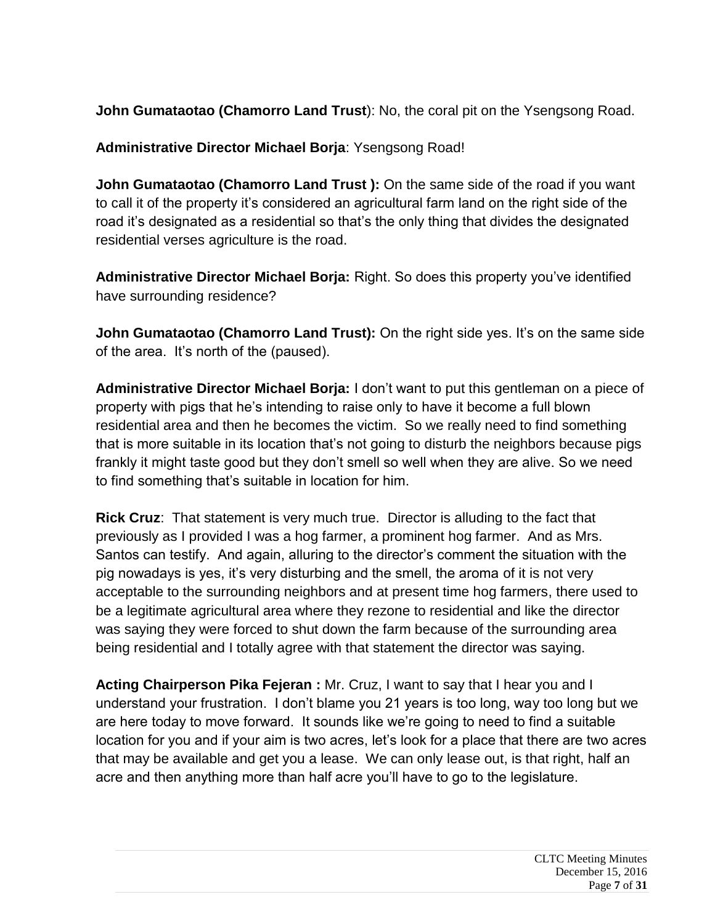**John Gumataotao (Chamorro Land Trust**): No, the coral pit on the Ysengsong Road.

**Administrative Director Michael Borja**: Ysengsong Road!

**John Gumataotao (Chamorro Land Trust ):** On the same side of the road if you want to call it of the property it's considered an agricultural farm land on the right side of the road it's designated as a residential so that's the only thing that divides the designated residential verses agriculture is the road.

**Administrative Director Michael Borja:** Right. So does this property you've identified have surrounding residence?

**John Gumataotao (Chamorro Land Trust):** On the right side yes. It's on the same side of the area. It's north of the (paused).

**Administrative Director Michael Borja:** I don't want to put this gentleman on a piece of property with pigs that he's intending to raise only to have it become a full blown residential area and then he becomes the victim. So we really need to find something that is more suitable in its location that's not going to disturb the neighbors because pigs frankly it might taste good but they don't smell so well when they are alive. So we need to find something that's suitable in location for him.

**Rick Cruz**: That statement is very much true. Director is alluding to the fact that previously as I provided I was a hog farmer, a prominent hog farmer. And as Mrs. Santos can testify. And again, alluring to the director's comment the situation with the pig nowadays is yes, it's very disturbing and the smell, the aroma of it is not very acceptable to the surrounding neighbors and at present time hog farmers, there used to be a legitimate agricultural area where they rezone to residential and like the director was saying they were forced to shut down the farm because of the surrounding area being residential and I totally agree with that statement the director was saying.

**Acting Chairperson Pika Fejeran :** Mr. Cruz, I want to say that I hear you and I understand your frustration. I don't blame you 21 years is too long, way too long but we are here today to move forward. It sounds like we're going to need to find a suitable location for you and if your aim is two acres, let's look for a place that there are two acres that may be available and get you a lease. We can only lease out, is that right, half an acre and then anything more than half acre you'll have to go to the legislature.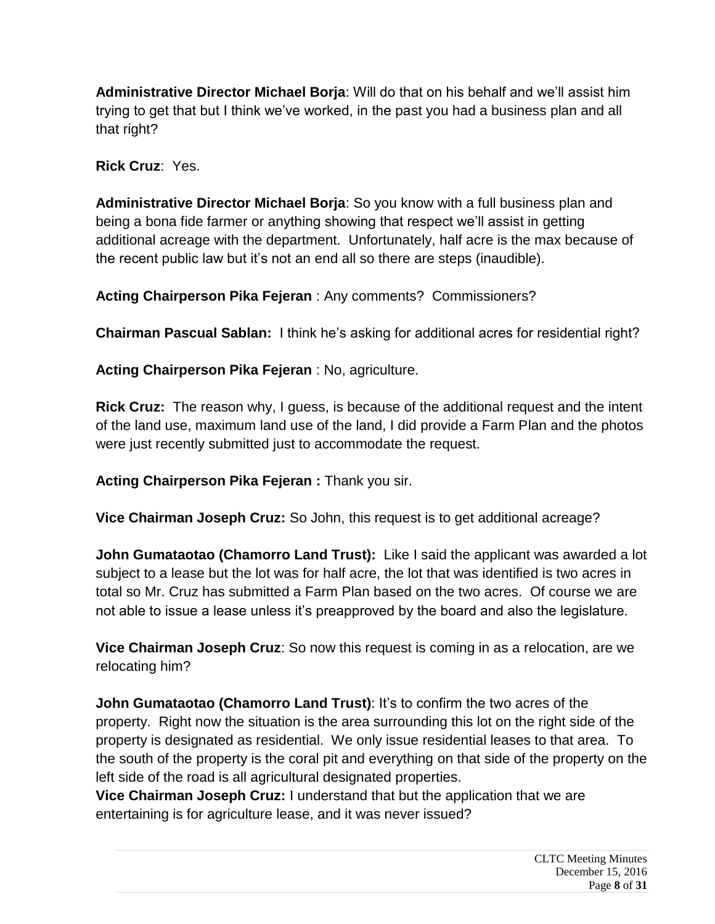**Administrative Director Michael Borja**: Will do that on his behalf and we'll assist him trying to get that but I think we've worked, in the past you had a business plan and all that right?

**Rick Cruz**: Yes.

**Administrative Director Michael Borja**: So you know with a full business plan and being a bona fide farmer or anything showing that respect we'll assist in getting additional acreage with the department. Unfortunately, half acre is the max because of the recent public law but it's not an end all so there are steps (inaudible).

**Acting Chairperson Pika Fejeran** : Any comments? Commissioners?

**Chairman Pascual Sablan:** I think he's asking for additional acres for residential right?

**Acting Chairperson Pika Fejeran** : No, agriculture.

**Rick Cruz:** The reason why, I guess, is because of the additional request and the intent of the land use, maximum land use of the land, I did provide a Farm Plan and the photos were just recently submitted just to accommodate the request.

**Acting Chairperson Pika Fejeran :** Thank you sir.

**Vice Chairman Joseph Cruz:** So John, this request is to get additional acreage?

**John Gumataotao (Chamorro Land Trust):** Like I said the applicant was awarded a lot subject to a lease but the lot was for half acre, the lot that was identified is two acres in total so Mr. Cruz has submitted a Farm Plan based on the two acres. Of course we are not able to issue a lease unless it's preapproved by the board and also the legislature.

**Vice Chairman Joseph Cruz**: So now this request is coming in as a relocation, are we relocating him?

**John Gumataotao (Chamorro Land Trust)**: It's to confirm the two acres of the property. Right now the situation is the area surrounding this lot on the right side of the property is designated as residential. We only issue residential leases to that area. To the south of the property is the coral pit and everything on that side of the property on the left side of the road is all agricultural designated properties.

**Vice Chairman Joseph Cruz:** I understand that but the application that we are entertaining is for agriculture lease, and it was never issued?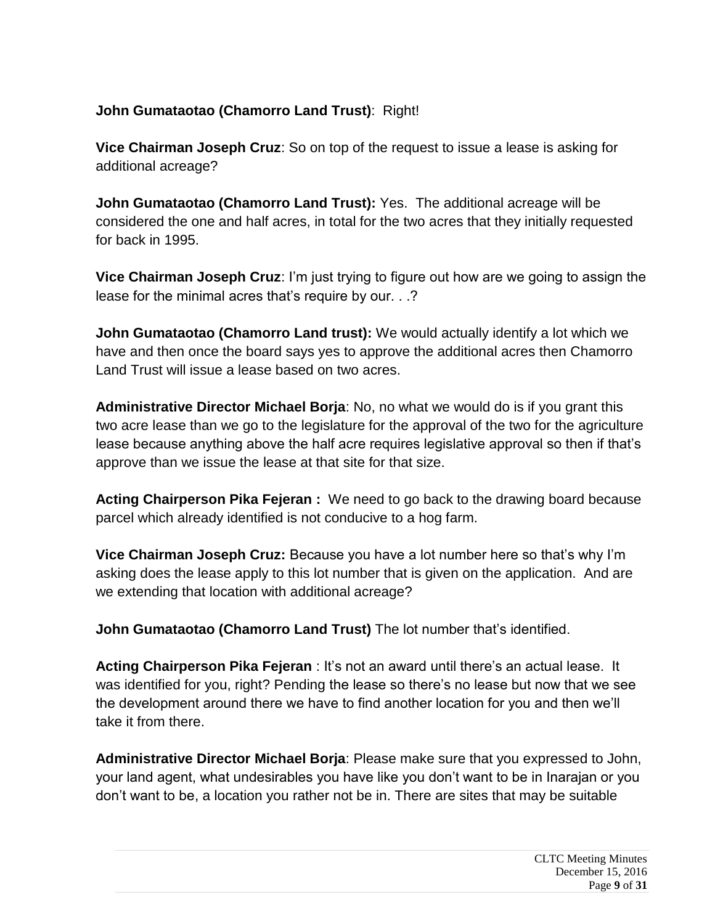## **John Gumataotao (Chamorro Land Trust)**: Right!

**Vice Chairman Joseph Cruz**: So on top of the request to issue a lease is asking for additional acreage?

**John Gumataotao (Chamorro Land Trust):** Yes. The additional acreage will be considered the one and half acres, in total for the two acres that they initially requested for back in 1995.

**Vice Chairman Joseph Cruz**: I'm just trying to figure out how are we going to assign the lease for the minimal acres that's require by our. . .?

**John Gumataotao (Chamorro Land trust):** We would actually identify a lot which we have and then once the board says yes to approve the additional acres then Chamorro Land Trust will issue a lease based on two acres.

**Administrative Director Michael Borja**: No, no what we would do is if you grant this two acre lease than we go to the legislature for the approval of the two for the agriculture lease because anything above the half acre requires legislative approval so then if that's approve than we issue the lease at that site for that size.

**Acting Chairperson Pika Fejeran :** We need to go back to the drawing board because parcel which already identified is not conducive to a hog farm.

**Vice Chairman Joseph Cruz:** Because you have a lot number here so that's why I'm asking does the lease apply to this lot number that is given on the application. And are we extending that location with additional acreage?

**John Gumataotao (Chamorro Land Trust)** The lot number that's identified.

**Acting Chairperson Pika Fejeran** : It's not an award until there's an actual lease. It was identified for you, right? Pending the lease so there's no lease but now that we see the development around there we have to find another location for you and then we'll take it from there.

**Administrative Director Michael Borja**: Please make sure that you expressed to John, your land agent, what undesirables you have like you don't want to be in Inarajan or you don't want to be, a location you rather not be in. There are sites that may be suitable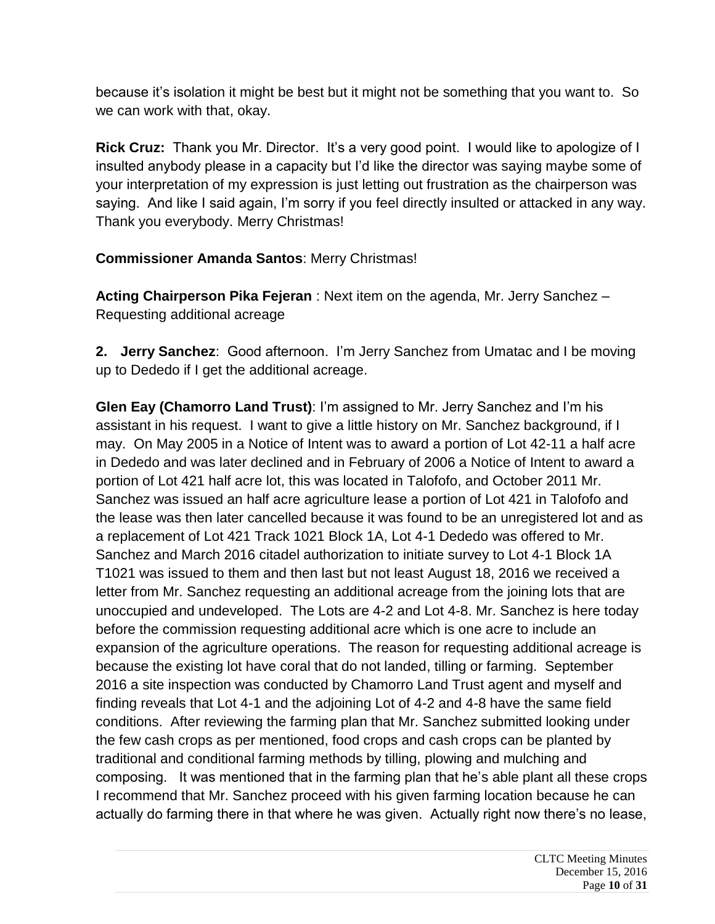because it's isolation it might be best but it might not be something that you want to. So we can work with that, okay.

**Rick Cruz:** Thank you Mr. Director. It's a very good point. I would like to apologize of I insulted anybody please in a capacity but I'd like the director was saying maybe some of your interpretation of my expression is just letting out frustration as the chairperson was saying. And like I said again, I'm sorry if you feel directly insulted or attacked in any way. Thank you everybody. Merry Christmas!

**Commissioner Amanda Santos**: Merry Christmas!

**Acting Chairperson Pika Fejeran** : Next item on the agenda, Mr. Jerry Sanchez – Requesting additional acreage

**2. Jerry Sanchez**: Good afternoon. I'm Jerry Sanchez from Umatac and I be moving up to Dededo if I get the additional acreage.

**Glen Eay (Chamorro Land Trust)**: I'm assigned to Mr. Jerry Sanchez and I'm his assistant in his request. I want to give a little history on Mr. Sanchez background, if I may. On May 2005 in a Notice of Intent was to award a portion of Lot 42-11 a half acre in Dededo and was later declined and in February of 2006 a Notice of Intent to award a portion of Lot 421 half acre lot, this was located in Talofofo, and October 2011 Mr. Sanchez was issued an half acre agriculture lease a portion of Lot 421 in Talofofo and the lease was then later cancelled because it was found to be an unregistered lot and as a replacement of Lot 421 Track 1021 Block 1A, Lot 4-1 Dededo was offered to Mr. Sanchez and March 2016 citadel authorization to initiate survey to Lot 4-1 Block 1A T1021 was issued to them and then last but not least August 18, 2016 we received a letter from Mr. Sanchez requesting an additional acreage from the joining lots that are unoccupied and undeveloped. The Lots are 4-2 and Lot 4-8. Mr. Sanchez is here today before the commission requesting additional acre which is one acre to include an expansion of the agriculture operations. The reason for requesting additional acreage is because the existing lot have coral that do not landed, tilling or farming. September 2016 a site inspection was conducted by Chamorro Land Trust agent and myself and finding reveals that Lot 4-1 and the adjoining Lot of 4-2 and 4-8 have the same field conditions. After reviewing the farming plan that Mr. Sanchez submitted looking under the few cash crops as per mentioned, food crops and cash crops can be planted by traditional and conditional farming methods by tilling, plowing and mulching and composing. It was mentioned that in the farming plan that he's able plant all these crops I recommend that Mr. Sanchez proceed with his given farming location because he can actually do farming there in that where he was given. Actually right now there's no lease,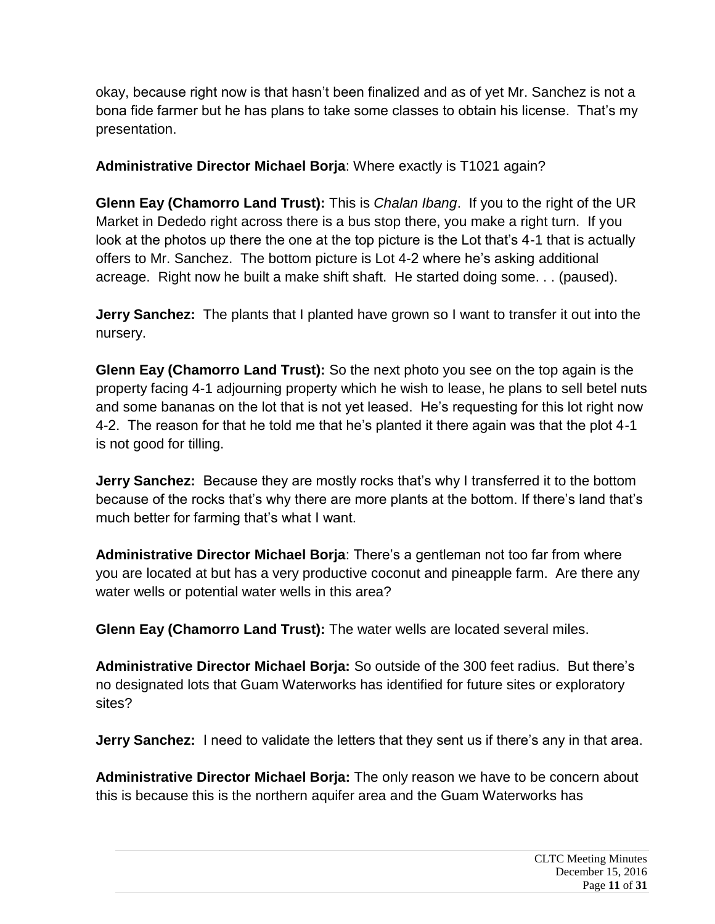okay, because right now is that hasn't been finalized and as of yet Mr. Sanchez is not a bona fide farmer but he has plans to take some classes to obtain his license. That's my presentation.

**Administrative Director Michael Borja**: Where exactly is T1021 again?

**Glenn Eay (Chamorro Land Trust):** This is *Chalan Ibang*. If you to the right of the UR Market in Dededo right across there is a bus stop there, you make a right turn. If you look at the photos up there the one at the top picture is the Lot that's 4-1 that is actually offers to Mr. Sanchez. The bottom picture is Lot 4-2 where he's asking additional acreage. Right now he built a make shift shaft. He started doing some. . . (paused).

**Jerry Sanchez:** The plants that I planted have grown so I want to transfer it out into the nursery.

**Glenn Eay (Chamorro Land Trust):** So the next photo you see on the top again is the property facing 4-1 adjourning property which he wish to lease, he plans to sell betel nuts and some bananas on the lot that is not yet leased. He's requesting for this lot right now 4-2. The reason for that he told me that he's planted it there again was that the plot 4-1 is not good for tilling.

**Jerry Sanchez:** Because they are mostly rocks that's why I transferred it to the bottom because of the rocks that's why there are more plants at the bottom. If there's land that's much better for farming that's what I want.

**Administrative Director Michael Borja**: There's a gentleman not too far from where you are located at but has a very productive coconut and pineapple farm. Are there any water wells or potential water wells in this area?

**Glenn Eay (Chamorro Land Trust):** The water wells are located several miles.

**Administrative Director Michael Borja:** So outside of the 300 feet radius. But there's no designated lots that Guam Waterworks has identified for future sites or exploratory sites?

**Jerry Sanchez:** I need to validate the letters that they sent us if there's any in that area.

**Administrative Director Michael Borja:** The only reason we have to be concern about this is because this is the northern aquifer area and the Guam Waterworks has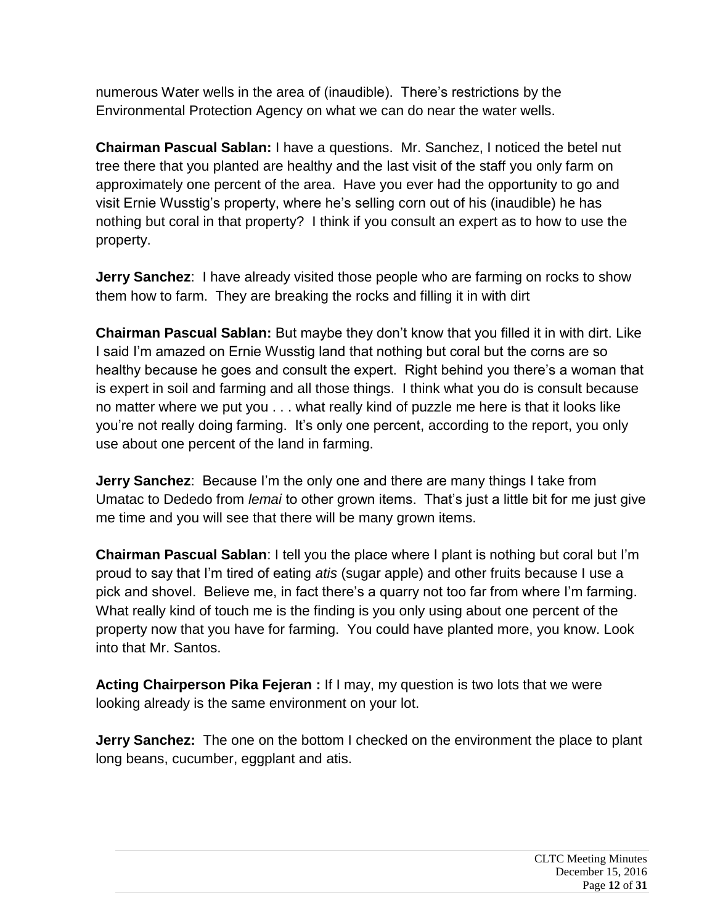numerous Water wells in the area of (inaudible). There's restrictions by the Environmental Protection Agency on what we can do near the water wells.

**Chairman Pascual Sablan:** I have a questions. Mr. Sanchez, I noticed the betel nut tree there that you planted are healthy and the last visit of the staff you only farm on approximately one percent of the area. Have you ever had the opportunity to go and visit Ernie Wusstig's property, where he's selling corn out of his (inaudible) he has nothing but coral in that property? I think if you consult an expert as to how to use the property.

**Jerry Sanchez**: I have already visited those people who are farming on rocks to show them how to farm. They are breaking the rocks and filling it in with dirt

**Chairman Pascual Sablan:** But maybe they don't know that you filled it in with dirt. Like I said I'm amazed on Ernie Wusstig land that nothing but coral but the corns are so healthy because he goes and consult the expert. Right behind you there's a woman that is expert in soil and farming and all those things. I think what you do is consult because no matter where we put you . . . what really kind of puzzle me here is that it looks like you're not really doing farming. It's only one percent, according to the report, you only use about one percent of the land in farming.

**Jerry Sanchez**: Because I'm the only one and there are many things I take from Umatac to Dededo from *lemai* to other grown items. That's just a little bit for me just give me time and you will see that there will be many grown items.

**Chairman Pascual Sablan**: I tell you the place where I plant is nothing but coral but I'm proud to say that I'm tired of eating *atis* (sugar apple) and other fruits because I use a pick and shovel. Believe me, in fact there's a quarry not too far from where I'm farming. What really kind of touch me is the finding is you only using about one percent of the property now that you have for farming. You could have planted more, you know. Look into that Mr. Santos.

**Acting Chairperson Pika Fejeran :** If I may, my question is two lots that we were looking already is the same environment on your lot.

**Jerry Sanchez:** The one on the bottom I checked on the environment the place to plant long beans, cucumber, eggplant and atis.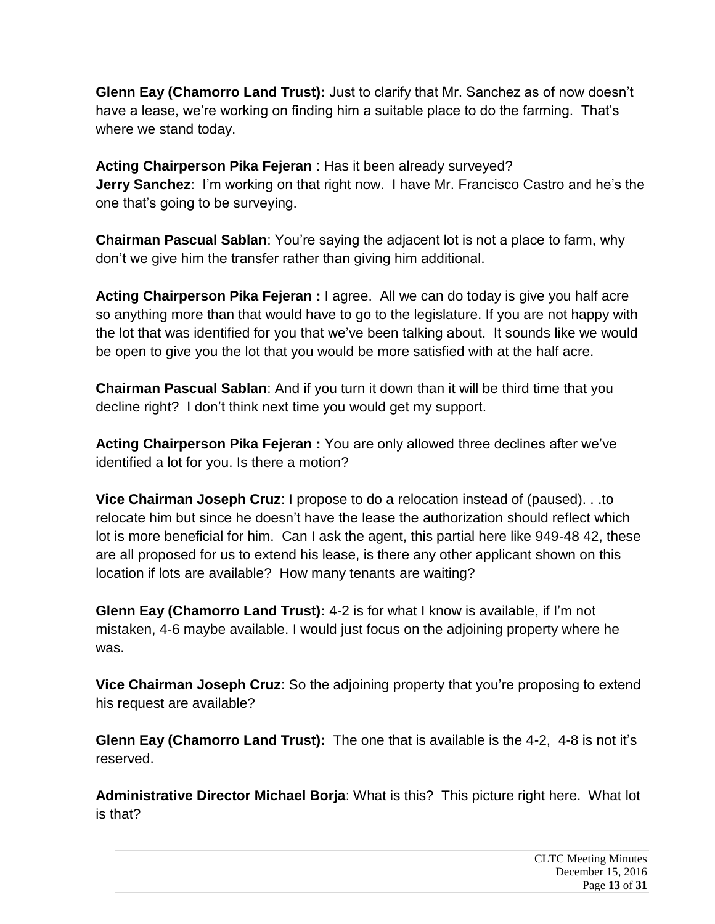**Glenn Eay (Chamorro Land Trust):** Just to clarify that Mr. Sanchez as of now doesn't have a lease, we're working on finding him a suitable place to do the farming. That's where we stand today.

**Acting Chairperson Pika Fejeran** : Has it been already surveyed? **Jerry Sanchez**: I'm working on that right now. I have Mr. Francisco Castro and he's the one that's going to be surveying.

**Chairman Pascual Sablan**: You're saying the adjacent lot is not a place to farm, why don't we give him the transfer rather than giving him additional.

**Acting Chairperson Pika Fejeran :** I agree. All we can do today is give you half acre so anything more than that would have to go to the legislature. If you are not happy with the lot that was identified for you that we've been talking about. It sounds like we would be open to give you the lot that you would be more satisfied with at the half acre.

**Chairman Pascual Sablan**: And if you turn it down than it will be third time that you decline right? I don't think next time you would get my support.

**Acting Chairperson Pika Fejeran :** You are only allowed three declines after we've identified a lot for you. Is there a motion?

**Vice Chairman Joseph Cruz**: I propose to do a relocation instead of (paused). . .to relocate him but since he doesn't have the lease the authorization should reflect which lot is more beneficial for him. Can I ask the agent, this partial here like 949-48 42, these are all proposed for us to extend his lease, is there any other applicant shown on this location if lots are available? How many tenants are waiting?

**Glenn Eay (Chamorro Land Trust):** 4-2 is for what I know is available, if I'm not mistaken, 4-6 maybe available. I would just focus on the adjoining property where he was.

**Vice Chairman Joseph Cruz**: So the adjoining property that you're proposing to extend his request are available?

**Glenn Eay (Chamorro Land Trust):** The one that is available is the 4-2, 4-8 is not it's reserved.

**Administrative Director Michael Borja**: What is this? This picture right here. What lot is that?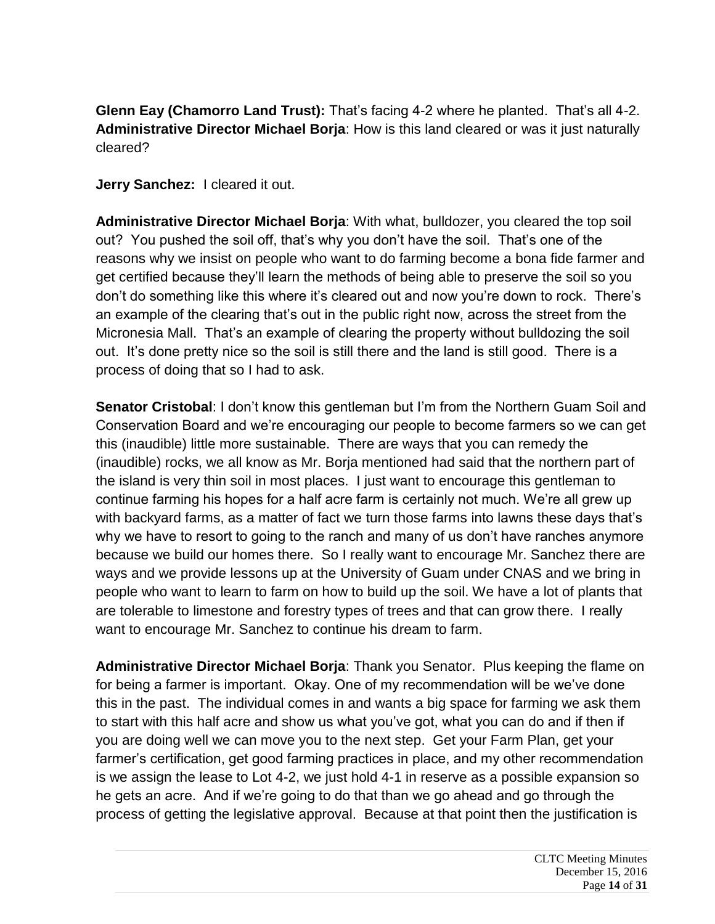**Glenn Eay (Chamorro Land Trust):** That's facing 4-2 where he planted. That's all 4-2. **Administrative Director Michael Borja**: How is this land cleared or was it just naturally cleared?

**Jerry Sanchez:** I cleared it out.

**Administrative Director Michael Borja**: With what, bulldozer, you cleared the top soil out? You pushed the soil off, that's why you don't have the soil. That's one of the reasons why we insist on people who want to do farming become a bona fide farmer and get certified because they'll learn the methods of being able to preserve the soil so you don't do something like this where it's cleared out and now you're down to rock. There's an example of the clearing that's out in the public right now, across the street from the Micronesia Mall. That's an example of clearing the property without bulldozing the soil out. It's done pretty nice so the soil is still there and the land is still good. There is a process of doing that so I had to ask.

**Senator Cristobal**: I don't know this gentleman but I'm from the Northern Guam Soil and Conservation Board and we're encouraging our people to become farmers so we can get this (inaudible) little more sustainable. There are ways that you can remedy the (inaudible) rocks, we all know as Mr. Borja mentioned had said that the northern part of the island is very thin soil in most places. I just want to encourage this gentleman to continue farming his hopes for a half acre farm is certainly not much. We're all grew up with backyard farms, as a matter of fact we turn those farms into lawns these days that's why we have to resort to going to the ranch and many of us don't have ranches anymore because we build our homes there. So I really want to encourage Mr. Sanchez there are ways and we provide lessons up at the University of Guam under CNAS and we bring in people who want to learn to farm on how to build up the soil. We have a lot of plants that are tolerable to limestone and forestry types of trees and that can grow there. I really want to encourage Mr. Sanchez to continue his dream to farm.

**Administrative Director Michael Borja**: Thank you Senator. Plus keeping the flame on for being a farmer is important. Okay. One of my recommendation will be we've done this in the past. The individual comes in and wants a big space for farming we ask them to start with this half acre and show us what you've got, what you can do and if then if you are doing well we can move you to the next step. Get your Farm Plan, get your farmer's certification, get good farming practices in place, and my other recommendation is we assign the lease to Lot 4-2, we just hold 4-1 in reserve as a possible expansion so he gets an acre. And if we're going to do that than we go ahead and go through the process of getting the legislative approval. Because at that point then the justification is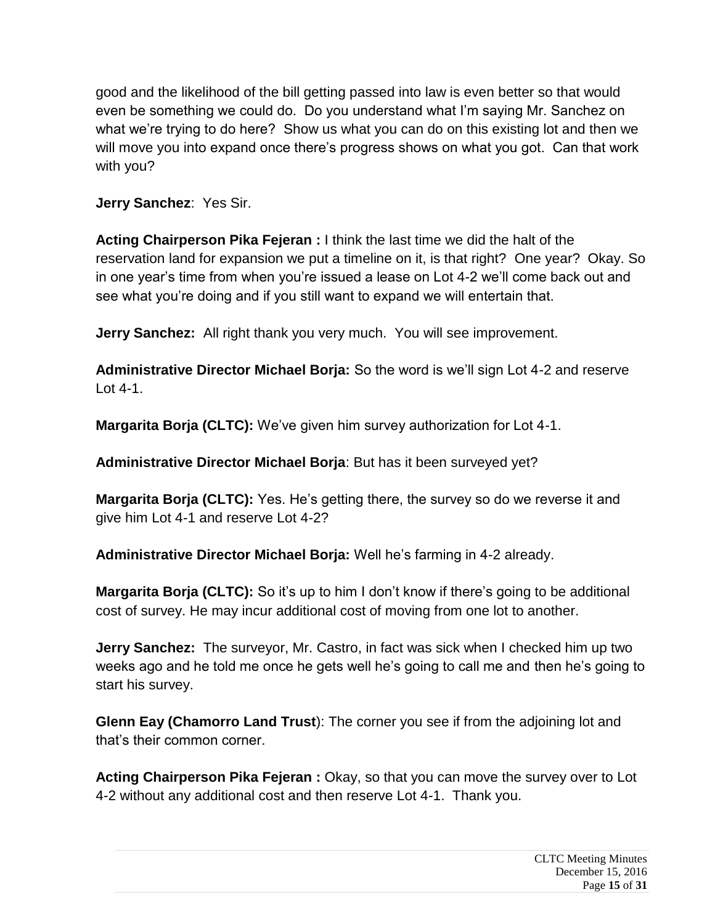good and the likelihood of the bill getting passed into law is even better so that would even be something we could do. Do you understand what I'm saying Mr. Sanchez on what we're trying to do here? Show us what you can do on this existing lot and then we will move you into expand once there's progress shows on what you got. Can that work with you?

**Jerry Sanchez**: Yes Sir.

**Acting Chairperson Pika Fejeran :** I think the last time we did the halt of the reservation land for expansion we put a timeline on it, is that right? One year? Okay. So in one year's time from when you're issued a lease on Lot 4-2 we'll come back out and see what you're doing and if you still want to expand we will entertain that.

**Jerry Sanchez:** All right thank you very much. You will see improvement.

**Administrative Director Michael Borja:** So the word is we'll sign Lot 4-2 and reserve Lot 4-1.

**Margarita Borja (CLTC):** We've given him survey authorization for Lot 4-1.

**Administrative Director Michael Borja**: But has it been surveyed yet?

**Margarita Borja (CLTC):** Yes. He's getting there, the survey so do we reverse it and give him Lot 4-1 and reserve Lot 4-2?

**Administrative Director Michael Borja:** Well he's farming in 4-2 already.

**Margarita Borja (CLTC):** So it's up to him I don't know if there's going to be additional cost of survey. He may incur additional cost of moving from one lot to another.

**Jerry Sanchez:** The surveyor, Mr. Castro, in fact was sick when I checked him up two weeks ago and he told me once he gets well he's going to call me and then he's going to start his survey.

**Glenn Eay (Chamorro Land Trust**): The corner you see if from the adjoining lot and that's their common corner.

**Acting Chairperson Pika Fejeran :** Okay, so that you can move the survey over to Lot 4-2 without any additional cost and then reserve Lot 4-1. Thank you.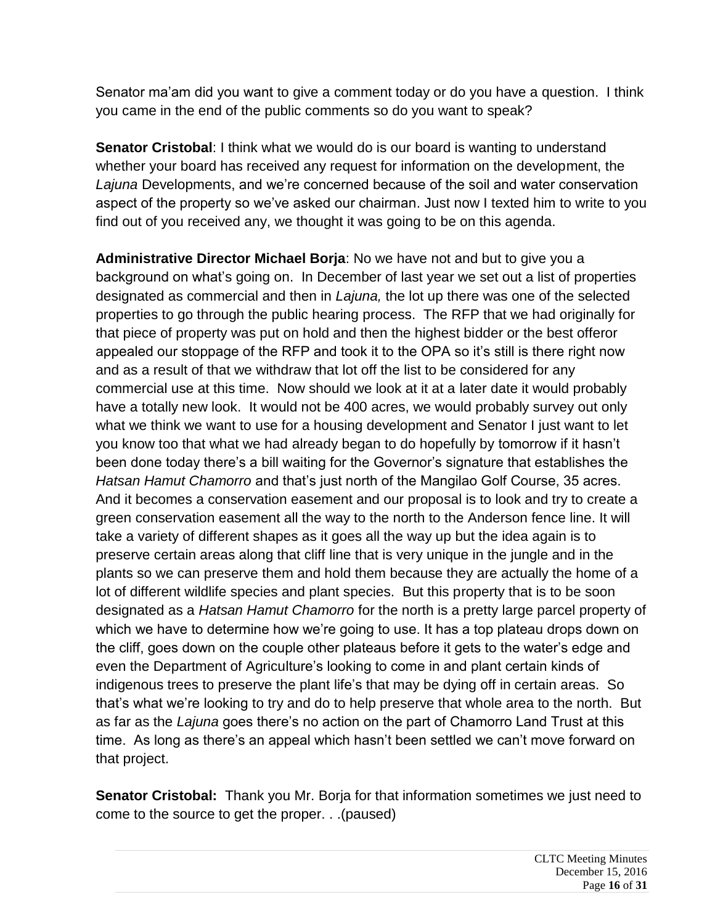Senator ma'am did you want to give a comment today or do you have a question. I think you came in the end of the public comments so do you want to speak?

**Senator Cristobal:** I think what we would do is our board is wanting to understand whether your board has received any request for information on the development, the *Lajuna* Developments, and we're concerned because of the soil and water conservation aspect of the property so we've asked our chairman. Just now I texted him to write to you find out of you received any, we thought it was going to be on this agenda.

**Administrative Director Michael Borja**: No we have not and but to give you a background on what's going on. In December of last year we set out a list of properties designated as commercial and then in *Lajuna,* the lot up there was one of the selected properties to go through the public hearing process. The RFP that we had originally for that piece of property was put on hold and then the highest bidder or the best offeror appealed our stoppage of the RFP and took it to the OPA so it's still is there right now and as a result of that we withdraw that lot off the list to be considered for any commercial use at this time. Now should we look at it at a later date it would probably have a totally new look. It would not be 400 acres, we would probably survey out only what we think we want to use for a housing development and Senator I just want to let you know too that what we had already began to do hopefully by tomorrow if it hasn't been done today there's a bill waiting for the Governor's signature that establishes the *Hatsan Hamut Chamorro* and that's just north of the Mangilao Golf Course, 35 acres. And it becomes a conservation easement and our proposal is to look and try to create a green conservation easement all the way to the north to the Anderson fence line. It will take a variety of different shapes as it goes all the way up but the idea again is to preserve certain areas along that cliff line that is very unique in the jungle and in the plants so we can preserve them and hold them because they are actually the home of a lot of different wildlife species and plant species. But this property that is to be soon designated as a *Hatsan Hamut Chamorro* for the north is a pretty large parcel property of which we have to determine how we're going to use. It has a top plateau drops down on the cliff, goes down on the couple other plateaus before it gets to the water's edge and even the Department of Agriculture's looking to come in and plant certain kinds of indigenous trees to preserve the plant life's that may be dying off in certain areas. So that's what we're looking to try and do to help preserve that whole area to the north. But as far as the *Lajuna* goes there's no action on the part of Chamorro Land Trust at this time. As long as there's an appeal which hasn't been settled we can't move forward on that project.

**Senator Cristobal:** Thank you Mr. Borja for that information sometimes we just need to come to the source to get the proper. . .(paused)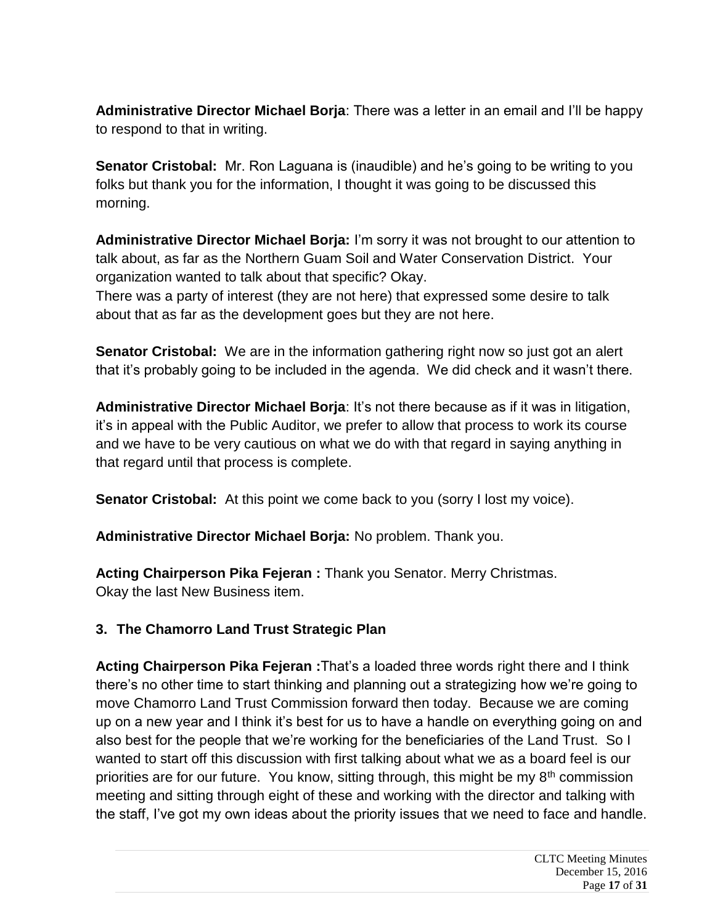**Administrative Director Michael Borja**: There was a letter in an email and I'll be happy to respond to that in writing.

**Senator Cristobal:** Mr. Ron Laguana is (inaudible) and he's going to be writing to you folks but thank you for the information, I thought it was going to be discussed this morning.

**Administrative Director Michael Borja:** I'm sorry it was not brought to our attention to talk about, as far as the Northern Guam Soil and Water Conservation District. Your organization wanted to talk about that specific? Okay.

There was a party of interest (they are not here) that expressed some desire to talk about that as far as the development goes but they are not here.

**Senator Cristobal:** We are in the information gathering right now so just got an alert that it's probably going to be included in the agenda. We did check and it wasn't there.

**Administrative Director Michael Borja**: It's not there because as if it was in litigation, it's in appeal with the Public Auditor, we prefer to allow that process to work its course and we have to be very cautious on what we do with that regard in saying anything in that regard until that process is complete.

**Senator Cristobal:** At this point we come back to you (sorry I lost my voice).

**Administrative Director Michael Borja:** No problem. Thank you.

**Acting Chairperson Pika Fejeran :** Thank you Senator. Merry Christmas. Okay the last New Business item.

# **3. The Chamorro Land Trust Strategic Plan**

**Acting Chairperson Pika Fejeran :**That's a loaded three words right there and I think there's no other time to start thinking and planning out a strategizing how we're going to move Chamorro Land Trust Commission forward then today. Because we are coming up on a new year and I think it's best for us to have a handle on everything going on and also best for the people that we're working for the beneficiaries of the Land Trust. So I wanted to start off this discussion with first talking about what we as a board feel is our priorities are for our future. You know, sitting through, this might be my  $8<sup>th</sup>$  commission meeting and sitting through eight of these and working with the director and talking with the staff, I've got my own ideas about the priority issues that we need to face and handle.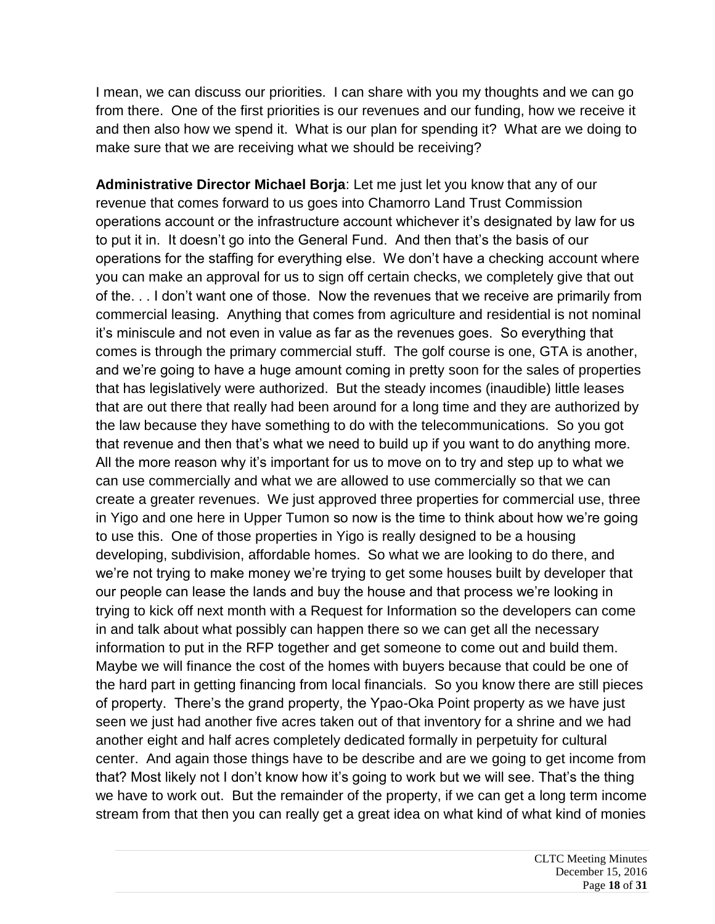I mean, we can discuss our priorities. I can share with you my thoughts and we can go from there. One of the first priorities is our revenues and our funding, how we receive it and then also how we spend it. What is our plan for spending it? What are we doing to make sure that we are receiving what we should be receiving?

**Administrative Director Michael Borja**: Let me just let you know that any of our revenue that comes forward to us goes into Chamorro Land Trust Commission operations account or the infrastructure account whichever it's designated by law for us to put it in. It doesn't go into the General Fund. And then that's the basis of our operations for the staffing for everything else. We don't have a checking account where you can make an approval for us to sign off certain checks, we completely give that out of the. . . I don't want one of those. Now the revenues that we receive are primarily from commercial leasing. Anything that comes from agriculture and residential is not nominal it's miniscule and not even in value as far as the revenues goes. So everything that comes is through the primary commercial stuff. The golf course is one, GTA is another, and we're going to have a huge amount coming in pretty soon for the sales of properties that has legislatively were authorized. But the steady incomes (inaudible) little leases that are out there that really had been around for a long time and they are authorized by the law because they have something to do with the telecommunications. So you got that revenue and then that's what we need to build up if you want to do anything more. All the more reason why it's important for us to move on to try and step up to what we can use commercially and what we are allowed to use commercially so that we can create a greater revenues. We just approved three properties for commercial use, three in Yigo and one here in Upper Tumon so now is the time to think about how we're going to use this. One of those properties in Yigo is really designed to be a housing developing, subdivision, affordable homes. So what we are looking to do there, and we're not trying to make money we're trying to get some houses built by developer that our people can lease the lands and buy the house and that process we're looking in trying to kick off next month with a Request for Information so the developers can come in and talk about what possibly can happen there so we can get all the necessary information to put in the RFP together and get someone to come out and build them. Maybe we will finance the cost of the homes with buyers because that could be one of the hard part in getting financing from local financials. So you know there are still pieces of property. There's the grand property, the Ypao-Oka Point property as we have just seen we just had another five acres taken out of that inventory for a shrine and we had another eight and half acres completely dedicated formally in perpetuity for cultural center. And again those things have to be describe and are we going to get income from that? Most likely not I don't know how it's going to work but we will see. That's the thing we have to work out. But the remainder of the property, if we can get a long term income stream from that then you can really get a great idea on what kind of what kind of monies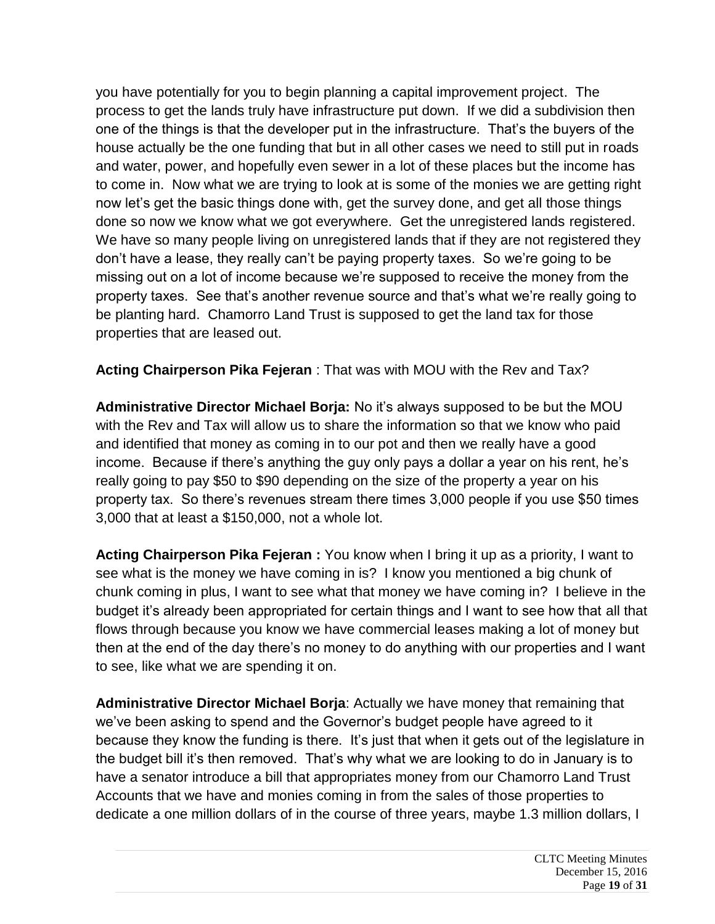you have potentially for you to begin planning a capital improvement project. The process to get the lands truly have infrastructure put down. If we did a subdivision then one of the things is that the developer put in the infrastructure. That's the buyers of the house actually be the one funding that but in all other cases we need to still put in roads and water, power, and hopefully even sewer in a lot of these places but the income has to come in. Now what we are trying to look at is some of the monies we are getting right now let's get the basic things done with, get the survey done, and get all those things done so now we know what we got everywhere. Get the unregistered lands registered. We have so many people living on unregistered lands that if they are not registered they don't have a lease, they really can't be paying property taxes. So we're going to be missing out on a lot of income because we're supposed to receive the money from the property taxes. See that's another revenue source and that's what we're really going to be planting hard. Chamorro Land Trust is supposed to get the land tax for those properties that are leased out.

**Acting Chairperson Pika Fejeran** : That was with MOU with the Rev and Tax?

**Administrative Director Michael Borja:** No it's always supposed to be but the MOU with the Rev and Tax will allow us to share the information so that we know who paid and identified that money as coming in to our pot and then we really have a good income. Because if there's anything the guy only pays a dollar a year on his rent, he's really going to pay \$50 to \$90 depending on the size of the property a year on his property tax. So there's revenues stream there times 3,000 people if you use \$50 times 3,000 that at least a \$150,000, not a whole lot.

**Acting Chairperson Pika Fejeran :** You know when I bring it up as a priority, I want to see what is the money we have coming in is? I know you mentioned a big chunk of chunk coming in plus, I want to see what that money we have coming in? I believe in the budget it's already been appropriated for certain things and I want to see how that all that flows through because you know we have commercial leases making a lot of money but then at the end of the day there's no money to do anything with our properties and I want to see, like what we are spending it on.

**Administrative Director Michael Borja**: Actually we have money that remaining that we've been asking to spend and the Governor's budget people have agreed to it because they know the funding is there. It's just that when it gets out of the legislature in the budget bill it's then removed. That's why what we are looking to do in January is to have a senator introduce a bill that appropriates money from our Chamorro Land Trust Accounts that we have and monies coming in from the sales of those properties to dedicate a one million dollars of in the course of three years, maybe 1.3 million dollars, I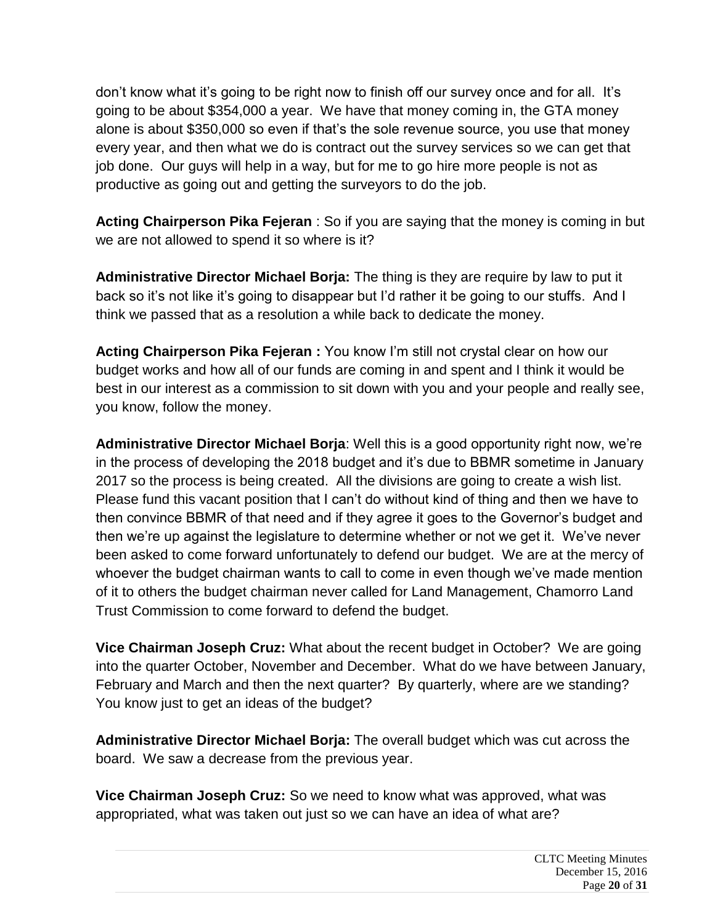don't know what it's going to be right now to finish off our survey once and for all. It's going to be about \$354,000 a year. We have that money coming in, the GTA money alone is about \$350,000 so even if that's the sole revenue source, you use that money every year, and then what we do is contract out the survey services so we can get that job done. Our guys will help in a way, but for me to go hire more people is not as productive as going out and getting the surveyors to do the job.

**Acting Chairperson Pika Fejeran** : So if you are saying that the money is coming in but we are not allowed to spend it so where is it?

**Administrative Director Michael Borja:** The thing is they are require by law to put it back so it's not like it's going to disappear but I'd rather it be going to our stuffs. And I think we passed that as a resolution a while back to dedicate the money.

**Acting Chairperson Pika Fejeran :** You know I'm still not crystal clear on how our budget works and how all of our funds are coming in and spent and I think it would be best in our interest as a commission to sit down with you and your people and really see, you know, follow the money.

**Administrative Director Michael Borja**: Well this is a good opportunity right now, we're in the process of developing the 2018 budget and it's due to BBMR sometime in January 2017 so the process is being created. All the divisions are going to create a wish list. Please fund this vacant position that I can't do without kind of thing and then we have to then convince BBMR of that need and if they agree it goes to the Governor's budget and then we're up against the legislature to determine whether or not we get it. We've never been asked to come forward unfortunately to defend our budget. We are at the mercy of whoever the budget chairman wants to call to come in even though we've made mention of it to others the budget chairman never called for Land Management, Chamorro Land Trust Commission to come forward to defend the budget.

**Vice Chairman Joseph Cruz:** What about the recent budget in October? We are going into the quarter October, November and December. What do we have between January, February and March and then the next quarter? By quarterly, where are we standing? You know just to get an ideas of the budget?

**Administrative Director Michael Borja:** The overall budget which was cut across the board. We saw a decrease from the previous year.

**Vice Chairman Joseph Cruz:** So we need to know what was approved, what was appropriated, what was taken out just so we can have an idea of what are?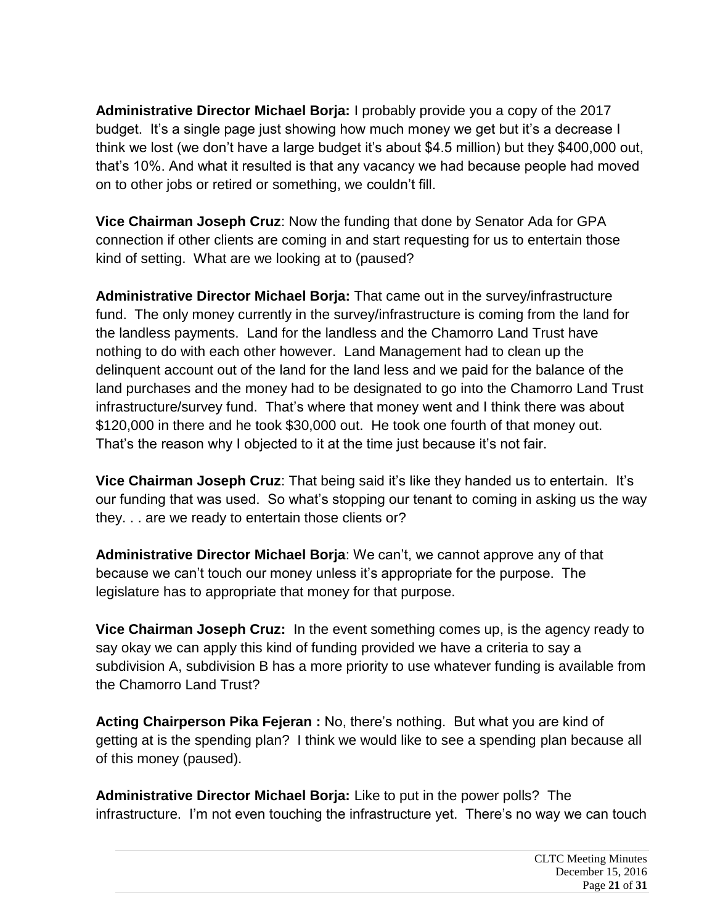**Administrative Director Michael Borja:** I probably provide you a copy of the 2017 budget. It's a single page just showing how much money we get but it's a decrease I think we lost (we don't have a large budget it's about \$4.5 million) but they \$400,000 out, that's 10%. And what it resulted is that any vacancy we had because people had moved on to other jobs or retired or something, we couldn't fill.

**Vice Chairman Joseph Cruz**: Now the funding that done by Senator Ada for GPA connection if other clients are coming in and start requesting for us to entertain those kind of setting. What are we looking at to (paused?

**Administrative Director Michael Borja:** That came out in the survey/infrastructure fund. The only money currently in the survey/infrastructure is coming from the land for the landless payments. Land for the landless and the Chamorro Land Trust have nothing to do with each other however. Land Management had to clean up the delinquent account out of the land for the land less and we paid for the balance of the land purchases and the money had to be designated to go into the Chamorro Land Trust infrastructure/survey fund. That's where that money went and I think there was about \$120,000 in there and he took \$30,000 out. He took one fourth of that money out. That's the reason why I objected to it at the time just because it's not fair.

**Vice Chairman Joseph Cruz**: That being said it's like they handed us to entertain. It's our funding that was used. So what's stopping our tenant to coming in asking us the way they. . . are we ready to entertain those clients or?

**Administrative Director Michael Borja**: We can't, we cannot approve any of that because we can't touch our money unless it's appropriate for the purpose. The legislature has to appropriate that money for that purpose.

**Vice Chairman Joseph Cruz:** In the event something comes up, is the agency ready to say okay we can apply this kind of funding provided we have a criteria to say a subdivision A, subdivision B has a more priority to use whatever funding is available from the Chamorro Land Trust?

**Acting Chairperson Pika Fejeran :** No, there's nothing. But what you are kind of getting at is the spending plan? I think we would like to see a spending plan because all of this money (paused).

**Administrative Director Michael Borja:** Like to put in the power polls? The infrastructure. I'm not even touching the infrastructure yet. There's no way we can touch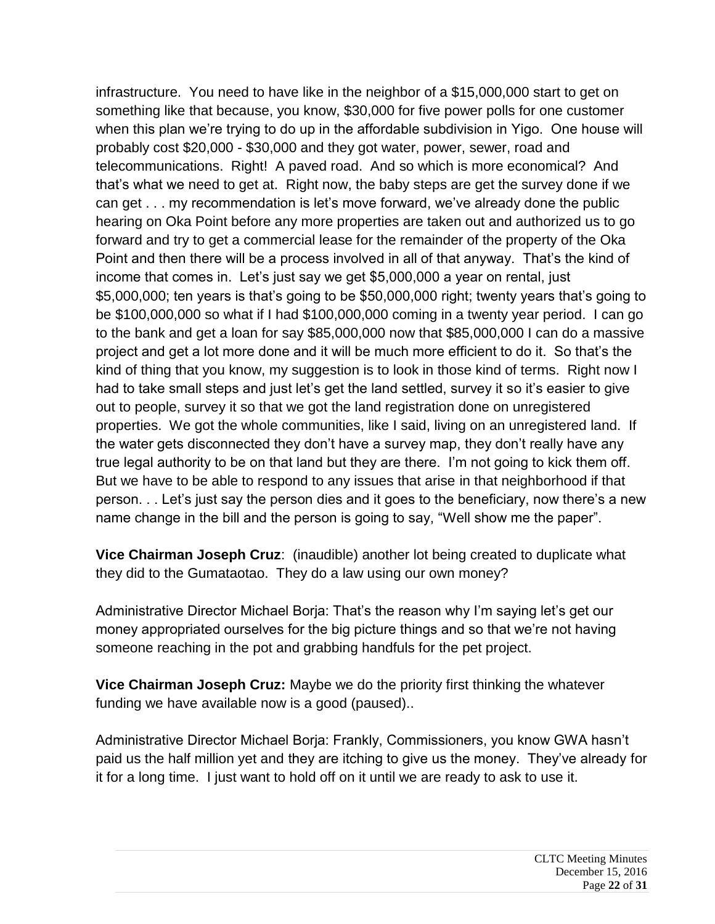infrastructure. You need to have like in the neighbor of a \$15,000,000 start to get on something like that because, you know, \$30,000 for five power polls for one customer when this plan we're trying to do up in the affordable subdivision in Yigo. One house will probably cost \$20,000 - \$30,000 and they got water, power, sewer, road and telecommunications. Right! A paved road. And so which is more economical? And that's what we need to get at. Right now, the baby steps are get the survey done if we can get . . . my recommendation is let's move forward, we've already done the public hearing on Oka Point before any more properties are taken out and authorized us to go forward and try to get a commercial lease for the remainder of the property of the Oka Point and then there will be a process involved in all of that anyway. That's the kind of income that comes in. Let's just say we get \$5,000,000 a year on rental, just \$5,000,000; ten years is that's going to be \$50,000,000 right; twenty years that's going to be \$100,000,000 so what if I had \$100,000,000 coming in a twenty year period. I can go to the bank and get a loan for say \$85,000,000 now that \$85,000,000 I can do a massive project and get a lot more done and it will be much more efficient to do it. So that's the kind of thing that you know, my suggestion is to look in those kind of terms. Right now I had to take small steps and just let's get the land settled, survey it so it's easier to give out to people, survey it so that we got the land registration done on unregistered properties. We got the whole communities, like I said, living on an unregistered land. If the water gets disconnected they don't have a survey map, they don't really have any true legal authority to be on that land but they are there. I'm not going to kick them off. But we have to be able to respond to any issues that arise in that neighborhood if that person. . . Let's just say the person dies and it goes to the beneficiary, now there's a new name change in the bill and the person is going to say, "Well show me the paper".

**Vice Chairman Joseph Cruz**: (inaudible) another lot being created to duplicate what they did to the Gumataotao. They do a law using our own money?

Administrative Director Michael Borja: That's the reason why I'm saying let's get our money appropriated ourselves for the big picture things and so that we're not having someone reaching in the pot and grabbing handfuls for the pet project.

**Vice Chairman Joseph Cruz:** Maybe we do the priority first thinking the whatever funding we have available now is a good (paused)..

Administrative Director Michael Borja: Frankly, Commissioners, you know GWA hasn't paid us the half million yet and they are itching to give us the money. They've already for it for a long time. I just want to hold off on it until we are ready to ask to use it.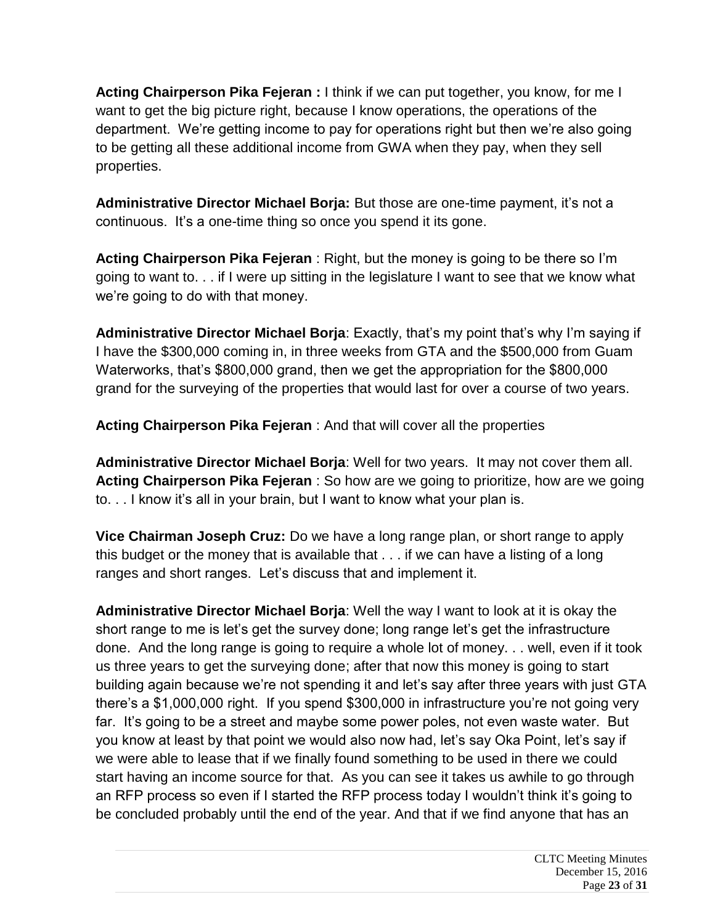**Acting Chairperson Pika Fejeran :** I think if we can put together, you know, for me I want to get the big picture right, because I know operations, the operations of the department. We're getting income to pay for operations right but then we're also going to be getting all these additional income from GWA when they pay, when they sell properties.

**Administrative Director Michael Borja:** But those are one-time payment, it's not a continuous. It's a one-time thing so once you spend it its gone.

**Acting Chairperson Pika Fejeran** : Right, but the money is going to be there so I'm going to want to. . . if I were up sitting in the legislature I want to see that we know what we're going to do with that money.

**Administrative Director Michael Borja**: Exactly, that's my point that's why I'm saying if I have the \$300,000 coming in, in three weeks from GTA and the \$500,000 from Guam Waterworks, that's \$800,000 grand, then we get the appropriation for the \$800,000 grand for the surveying of the properties that would last for over a course of two years.

**Acting Chairperson Pika Fejeran** : And that will cover all the properties

**Administrative Director Michael Borja**: Well for two years. It may not cover them all. **Acting Chairperson Pika Fejeran** : So how are we going to prioritize, how are we going to. . . I know it's all in your brain, but I want to know what your plan is.

**Vice Chairman Joseph Cruz:** Do we have a long range plan, or short range to apply this budget or the money that is available that . . . if we can have a listing of a long ranges and short ranges. Let's discuss that and implement it.

**Administrative Director Michael Borja**: Well the way I want to look at it is okay the short range to me is let's get the survey done; long range let's get the infrastructure done. And the long range is going to require a whole lot of money. . . well, even if it took us three years to get the surveying done; after that now this money is going to start building again because we're not spending it and let's say after three years with just GTA there's a \$1,000,000 right. If you spend \$300,000 in infrastructure you're not going very far. It's going to be a street and maybe some power poles, not even waste water. But you know at least by that point we would also now had, let's say Oka Point, let's say if we were able to lease that if we finally found something to be used in there we could start having an income source for that. As you can see it takes us awhile to go through an RFP process so even if I started the RFP process today I wouldn't think it's going to be concluded probably until the end of the year. And that if we find anyone that has an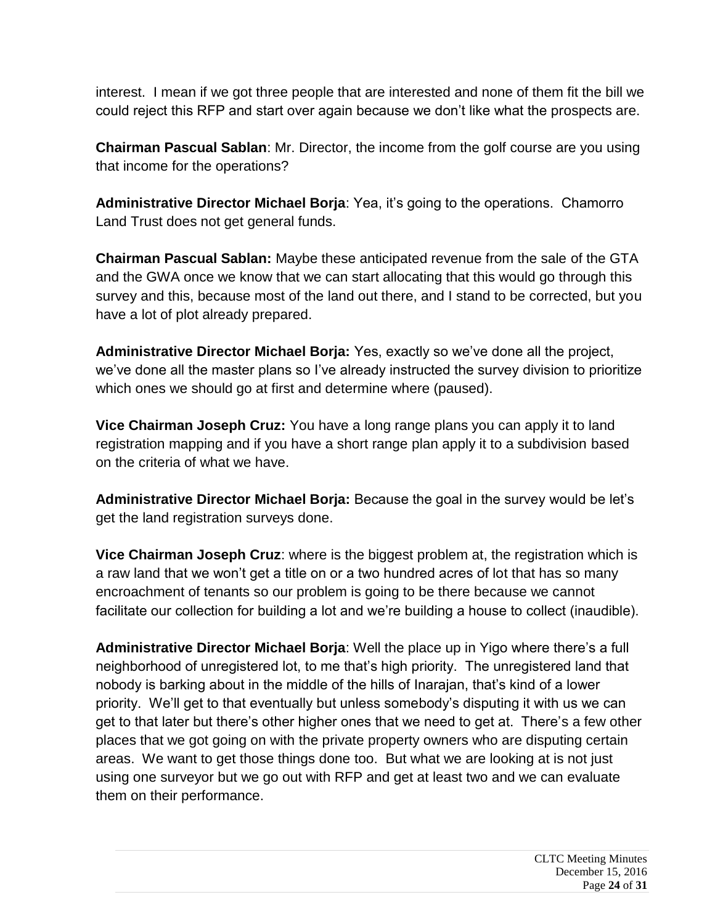interest. I mean if we got three people that are interested and none of them fit the bill we could reject this RFP and start over again because we don't like what the prospects are.

**Chairman Pascual Sablan**: Mr. Director, the income from the golf course are you using that income for the operations?

**Administrative Director Michael Borja**: Yea, it's going to the operations. Chamorro Land Trust does not get general funds.

**Chairman Pascual Sablan:** Maybe these anticipated revenue from the sale of the GTA and the GWA once we know that we can start allocating that this would go through this survey and this, because most of the land out there, and I stand to be corrected, but you have a lot of plot already prepared.

**Administrative Director Michael Borja:** Yes, exactly so we've done all the project, we've done all the master plans so I've already instructed the survey division to prioritize which ones we should go at first and determine where (paused).

**Vice Chairman Joseph Cruz:** You have a long range plans you can apply it to land registration mapping and if you have a short range plan apply it to a subdivision based on the criteria of what we have.

**Administrative Director Michael Borja:** Because the goal in the survey would be let's get the land registration surveys done.

**Vice Chairman Joseph Cruz**: where is the biggest problem at, the registration which is a raw land that we won't get a title on or a two hundred acres of lot that has so many encroachment of tenants so our problem is going to be there because we cannot facilitate our collection for building a lot and we're building a house to collect (inaudible).

**Administrative Director Michael Borja**: Well the place up in Yigo where there's a full neighborhood of unregistered lot, to me that's high priority. The unregistered land that nobody is barking about in the middle of the hills of Inarajan, that's kind of a lower priority. We'll get to that eventually but unless somebody's disputing it with us we can get to that later but there's other higher ones that we need to get at. There's a few other places that we got going on with the private property owners who are disputing certain areas. We want to get those things done too. But what we are looking at is not just using one surveyor but we go out with RFP and get at least two and we can evaluate them on their performance.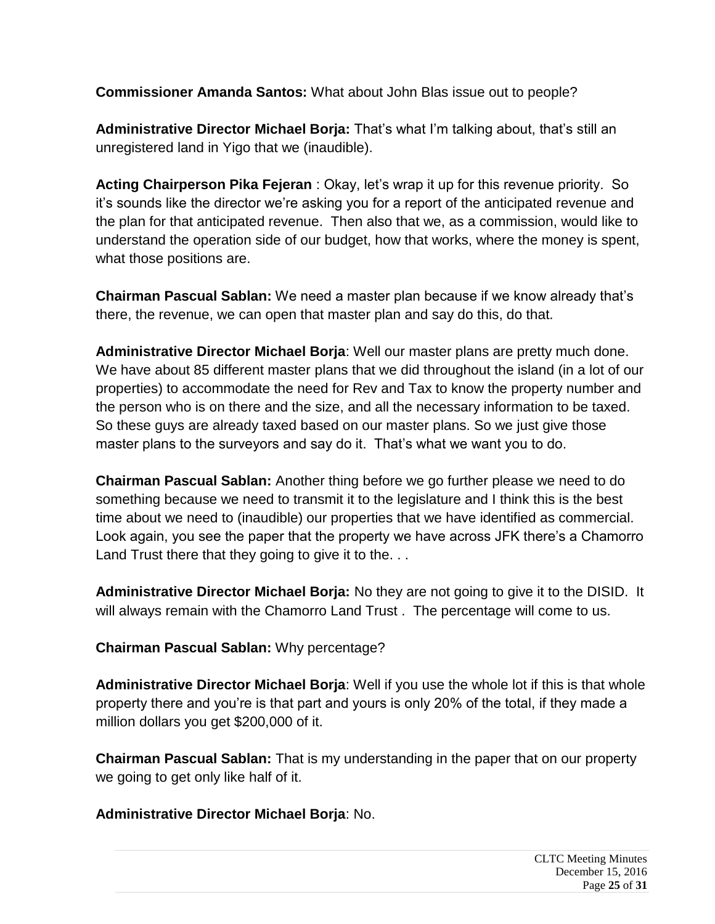**Commissioner Amanda Santos:** What about John Blas issue out to people?

**Administrative Director Michael Borja:** That's what I'm talking about, that's still an unregistered land in Yigo that we (inaudible).

**Acting Chairperson Pika Fejeran** : Okay, let's wrap it up for this revenue priority. So it's sounds like the director we're asking you for a report of the anticipated revenue and the plan for that anticipated revenue. Then also that we, as a commission, would like to understand the operation side of our budget, how that works, where the money is spent, what those positions are.

**Chairman Pascual Sablan:** We need a master plan because if we know already that's there, the revenue, we can open that master plan and say do this, do that.

**Administrative Director Michael Borja**: Well our master plans are pretty much done. We have about 85 different master plans that we did throughout the island (in a lot of our properties) to accommodate the need for Rev and Tax to know the property number and the person who is on there and the size, and all the necessary information to be taxed. So these guys are already taxed based on our master plans. So we just give those master plans to the surveyors and say do it. That's what we want you to do.

**Chairman Pascual Sablan:** Another thing before we go further please we need to do something because we need to transmit it to the legislature and I think this is the best time about we need to (inaudible) our properties that we have identified as commercial. Look again, you see the paper that the property we have across JFK there's a Chamorro Land Trust there that they going to give it to the...

**Administrative Director Michael Borja:** No they are not going to give it to the DISID. It will always remain with the Chamorro Land Trust. The percentage will come to us.

**Chairman Pascual Sablan:** Why percentage?

**Administrative Director Michael Borja**: Well if you use the whole lot if this is that whole property there and you're is that part and yours is only 20% of the total, if they made a million dollars you get \$200,000 of it.

**Chairman Pascual Sablan:** That is my understanding in the paper that on our property we going to get only like half of it.

### **Administrative Director Michael Borja**: No.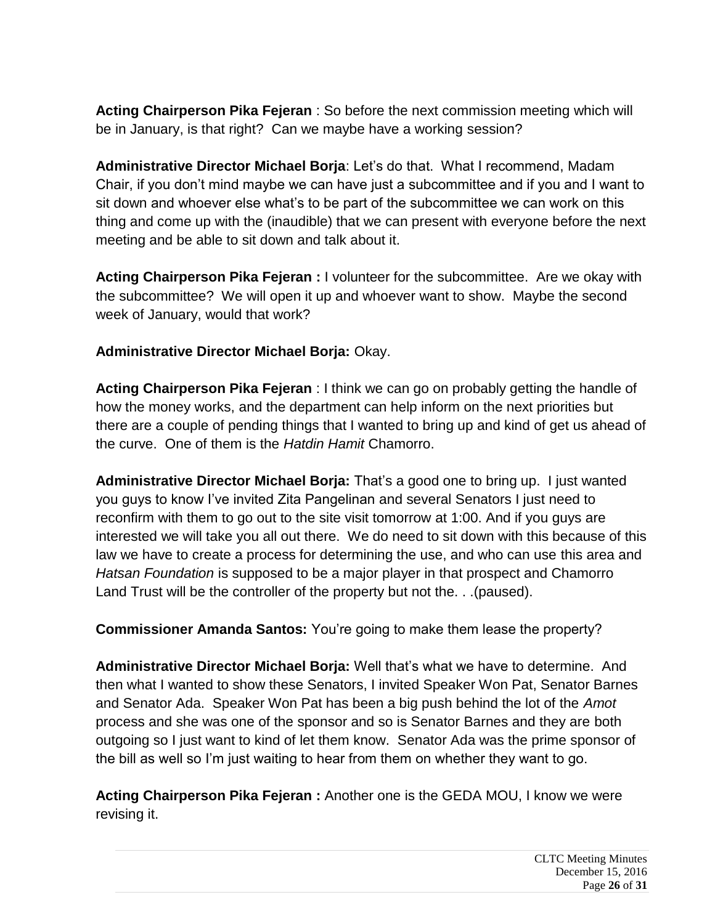**Acting Chairperson Pika Fejeran** : So before the next commission meeting which will be in January, is that right? Can we maybe have a working session?

**Administrative Director Michael Borja**: Let's do that. What I recommend, Madam Chair, if you don't mind maybe we can have just a subcommittee and if you and I want to sit down and whoever else what's to be part of the subcommittee we can work on this thing and come up with the (inaudible) that we can present with everyone before the next meeting and be able to sit down and talk about it.

**Acting Chairperson Pika Fejeran :** I volunteer for the subcommittee. Are we okay with the subcommittee? We will open it up and whoever want to show. Maybe the second week of January, would that work?

**Administrative Director Michael Borja:** Okay.

**Acting Chairperson Pika Fejeran** : I think we can go on probably getting the handle of how the money works, and the department can help inform on the next priorities but there are a couple of pending things that I wanted to bring up and kind of get us ahead of the curve. One of them is the *Hatdin Hamit* Chamorro.

**Administrative Director Michael Borja:** That's a good one to bring up. I just wanted you guys to know I've invited Zita Pangelinan and several Senators I just need to reconfirm with them to go out to the site visit tomorrow at 1:00. And if you guys are interested we will take you all out there. We do need to sit down with this because of this law we have to create a process for determining the use, and who can use this area and *Hatsan Foundation* is supposed to be a major player in that prospect and Chamorro Land Trust will be the controller of the property but not the. . .(paused).

**Commissioner Amanda Santos:** You're going to make them lease the property?

**Administrative Director Michael Borja:** Well that's what we have to determine. And then what I wanted to show these Senators, I invited Speaker Won Pat, Senator Barnes and Senator Ada. Speaker Won Pat has been a big push behind the lot of the *Amot*  process and she was one of the sponsor and so is Senator Barnes and they are both outgoing so I just want to kind of let them know. Senator Ada was the prime sponsor of the bill as well so I'm just waiting to hear from them on whether they want to go.

**Acting Chairperson Pika Fejeran :** Another one is the GEDA MOU, I know we were revising it.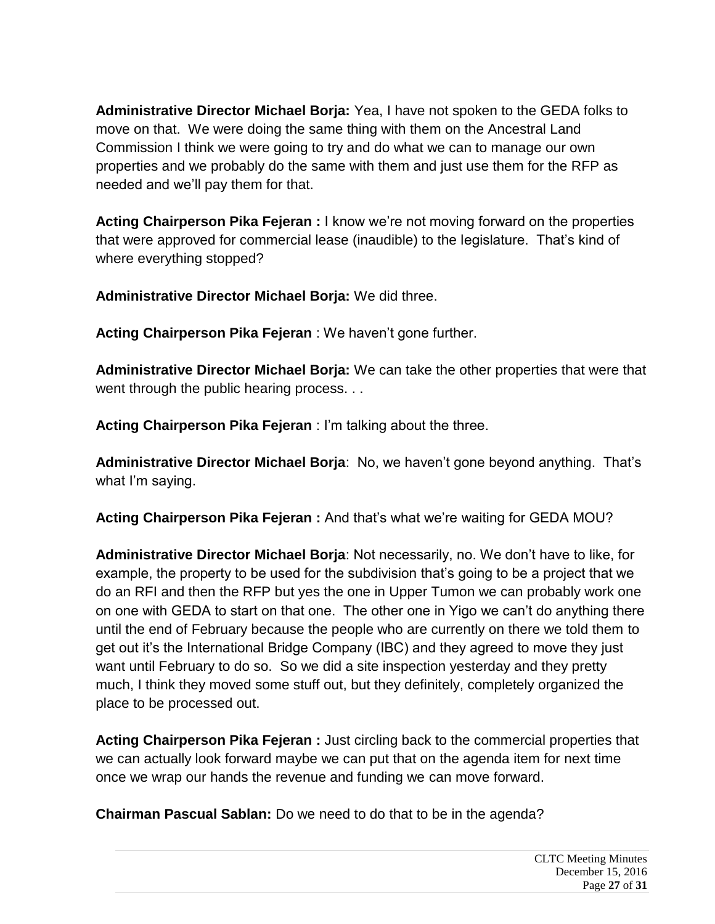**Administrative Director Michael Borja:** Yea, I have not spoken to the GEDA folks to move on that. We were doing the same thing with them on the Ancestral Land Commission I think we were going to try and do what we can to manage our own properties and we probably do the same with them and just use them for the RFP as needed and we'll pay them for that.

**Acting Chairperson Pika Fejeran :** I know we're not moving forward on the properties that were approved for commercial lease (inaudible) to the legislature. That's kind of where everything stopped?

**Administrative Director Michael Borja:** We did three.

**Acting Chairperson Pika Fejeran** : We haven't gone further.

**Administrative Director Michael Borja:** We can take the other properties that were that went through the public hearing process. . .

**Acting Chairperson Pika Fejeran** : I'm talking about the three.

**Administrative Director Michael Borja**: No, we haven't gone beyond anything. That's what I'm saying.

**Acting Chairperson Pika Fejeran :** And that's what we're waiting for GEDA MOU?

**Administrative Director Michael Borja**: Not necessarily, no. We don't have to like, for example, the property to be used for the subdivision that's going to be a project that we do an RFI and then the RFP but yes the one in Upper Tumon we can probably work one on one with GEDA to start on that one. The other one in Yigo we can't do anything there until the end of February because the people who are currently on there we told them to get out it's the International Bridge Company (IBC) and they agreed to move they just want until February to do so. So we did a site inspection yesterday and they pretty much, I think they moved some stuff out, but they definitely, completely organized the place to be processed out.

**Acting Chairperson Pika Fejeran :** Just circling back to the commercial properties that we can actually look forward maybe we can put that on the agenda item for next time once we wrap our hands the revenue and funding we can move forward.

**Chairman Pascual Sablan:** Do we need to do that to be in the agenda?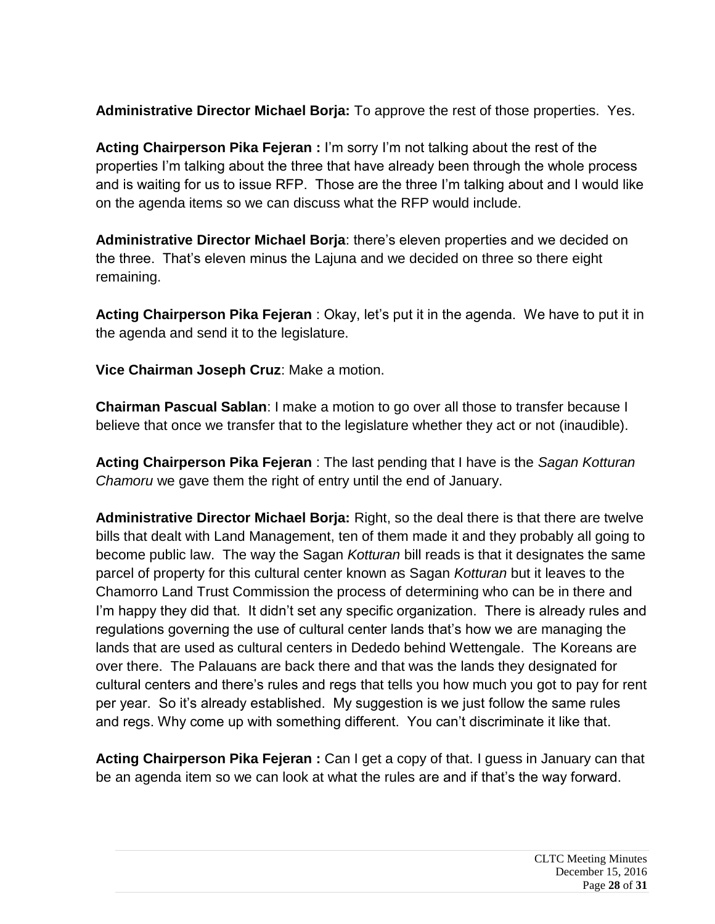**Administrative Director Michael Borja:** To approve the rest of those properties. Yes.

**Acting Chairperson Pika Fejeran :** I'm sorry I'm not talking about the rest of the properties I'm talking about the three that have already been through the whole process and is waiting for us to issue RFP. Those are the three I'm talking about and I would like on the agenda items so we can discuss what the RFP would include.

**Administrative Director Michael Borja**: there's eleven properties and we decided on the three. That's eleven minus the Lajuna and we decided on three so there eight remaining.

**Acting Chairperson Pika Fejeran** : Okay, let's put it in the agenda. We have to put it in the agenda and send it to the legislature.

**Vice Chairman Joseph Cruz**: Make a motion.

**Chairman Pascual Sablan**: I make a motion to go over all those to transfer because I believe that once we transfer that to the legislature whether they act or not (inaudible).

**Acting Chairperson Pika Fejeran** : The last pending that I have is the *Sagan Kotturan Chamoru* we gave them the right of entry until the end of January.

**Administrative Director Michael Borja:** Right, so the deal there is that there are twelve bills that dealt with Land Management, ten of them made it and they probably all going to become public law. The way the Sagan *Kotturan* bill reads is that it designates the same parcel of property for this cultural center known as Sagan *Kotturan* but it leaves to the Chamorro Land Trust Commission the process of determining who can be in there and I'm happy they did that. It didn't set any specific organization. There is already rules and regulations governing the use of cultural center lands that's how we are managing the lands that are used as cultural centers in Dededo behind Wettengale. The Koreans are over there. The Palauans are back there and that was the lands they designated for cultural centers and there's rules and regs that tells you how much you got to pay for rent per year. So it's already established. My suggestion is we just follow the same rules and regs. Why come up with something different. You can't discriminate it like that.

**Acting Chairperson Pika Fejeran :** Can I get a copy of that. I guess in January can that be an agenda item so we can look at what the rules are and if that's the way forward.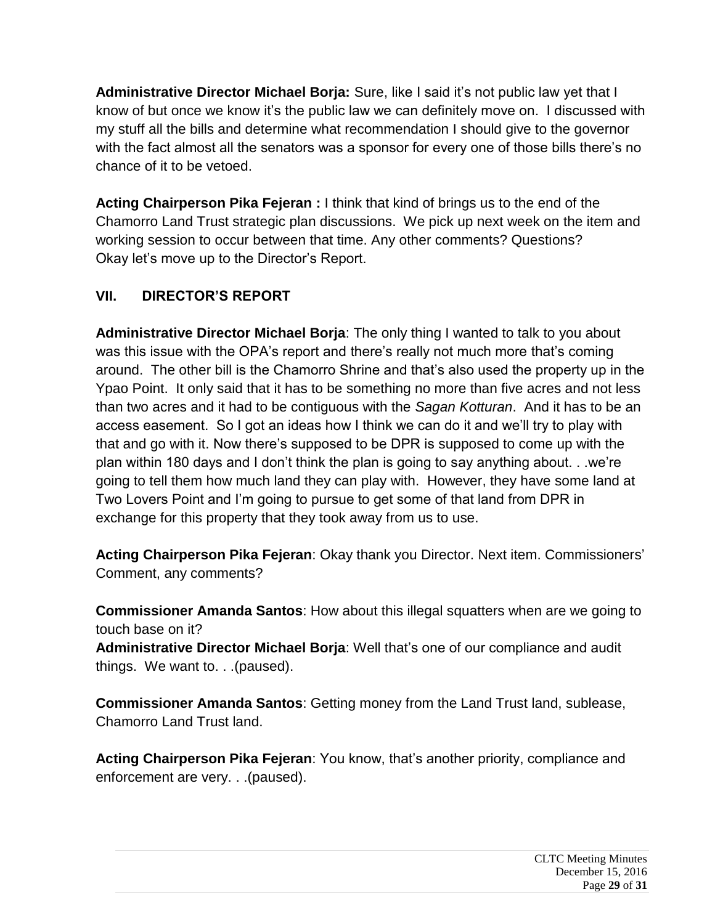**Administrative Director Michael Borja:** Sure, like I said it's not public law yet that I know of but once we know it's the public law we can definitely move on. I discussed with my stuff all the bills and determine what recommendation I should give to the governor with the fact almost all the senators was a sponsor for every one of those bills there's no chance of it to be vetoed.

**Acting Chairperson Pika Fejeran :** I think that kind of brings us to the end of the Chamorro Land Trust strategic plan discussions. We pick up next week on the item and working session to occur between that time. Any other comments? Questions? Okay let's move up to the Director's Report.

# **VII. DIRECTOR'S REPORT**

**Administrative Director Michael Borja**: The only thing I wanted to talk to you about was this issue with the OPA's report and there's really not much more that's coming around. The other bill is the Chamorro Shrine and that's also used the property up in the Ypao Point. It only said that it has to be something no more than five acres and not less than two acres and it had to be contiguous with the *Sagan Kotturan*. And it has to be an access easement. So I got an ideas how I think we can do it and we'll try to play with that and go with it. Now there's supposed to be DPR is supposed to come up with the plan within 180 days and I don't think the plan is going to say anything about. . .we're going to tell them how much land they can play with. However, they have some land at Two Lovers Point and I'm going to pursue to get some of that land from DPR in exchange for this property that they took away from us to use.

**Acting Chairperson Pika Fejeran**: Okay thank you Director. Next item. Commissioners' Comment, any comments?

**Commissioner Amanda Santos**: How about this illegal squatters when are we going to touch base on it?

**Administrative Director Michael Borja**: Well that's one of our compliance and audit things. We want to. . .(paused).

**Commissioner Amanda Santos**: Getting money from the Land Trust land, sublease, Chamorro Land Trust land.

**Acting Chairperson Pika Fejeran**: You know, that's another priority, compliance and enforcement are very. . .(paused).